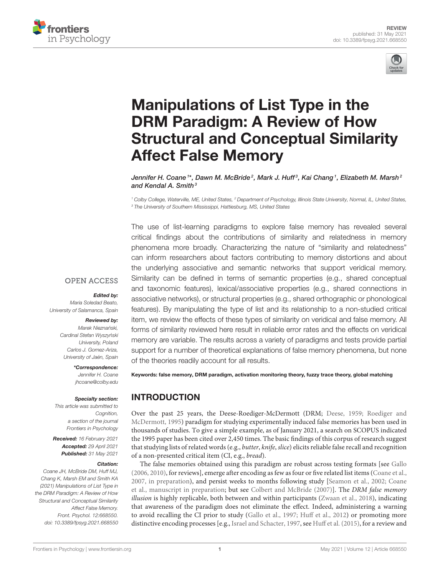



# Manipulations of List Type in the DRM Paradigm: A Review of How [Structural and Conceptual Similarity](https://www.frontiersin.org/articles/10.3389/fpsyg.2021.668550/full) Affect False Memory

Jennifer H. Coane '\*, Dawn M. McBride<sup>2</sup>, Mark J. Huff<sup>3</sup>, Kai Chang ', Elizabeth M. Marsh<sup>2</sup> and Kendal A. Smith $3$ 

<sup>1</sup> Colby College, Waterville, ME, United States, <sup>2</sup> Department of Psychology, Illinois State University, Normal, IL, United States, <sup>3</sup> The University of Southern Mississippi, Hattiesburg, MS, United States

The use of list-learning paradigms to explore false memory has revealed several critical findings about the contributions of similarity and relatedness in memory phenomena more broadly. Characterizing the nature of "similarity and relatedness" can inform researchers about factors contributing to memory distortions and about the underlying associative and semantic networks that support veridical memory. Similarity can be defined in terms of semantic properties (e.g., shared conceptual and taxonomic features), lexical/associative properties (e.g., shared connections in associative networks), or structural properties (e.g., shared orthographic or phonological features). By manipulating the type of list and its relationship to a non-studied critical item, we review the effects of these types of similarity on veridical and false memory. All forms of similarity reviewed here result in reliable error rates and the effects on veridical memory are variable. The results across a variety of paradigms and tests provide partial support for a number of theoretical explanations of false memory phenomena, but none of the theories readily account for all results.

#### **OPEN ACCESS**

#### Edited by:

Maria Soledad Beato, University of Salamanca, Spain

#### Reviewed by:

Marek Nieznański, Cardinal Stefan Wyszyński University, Poland Carlos J. Gomez-Ariza, University of Jaén, Spain

#### \*Correspondence:

Jennifer H. Coane [jhcoane@colby.edu](mailto:jhcoane@colby.edu)

#### Specialty section:

This article was submitted to Cognition, a section of the journal Frontiers in Psychology

Received: 16 February 2021 Accepted: 29 April 2021 Published: 31 May 2021

#### Citation:

Coane JH, McBride DM, Huff MJ, Chang K, Marsh EM and Smith KA (2021) Manipulations of List Type in the DRM Paradigm: A Review of How Structural and Conceptual Similarity Affect False Memory. Front. Psychol. 12:668550. doi: [10.3389/fpsyg.2021.668550](https://doi.org/10.3389/fpsyg.2021.668550)

Keywords: false memory, DRM paradigm, activation monitoring theory, fuzzy trace theory, global matching

## INTRODUCTION

Over the past 25 years, the Deese-Roediger-McDermott (DRM; [Deese, 1959;](#page-12-0) Roediger and McDermott, [1995\)](#page-13-0) paradigm for studying experimentally induced false memories has been used in thousands of studies. To give a simple example, as of January 2021, a search on SCOPUS indicated the 1995 paper has been cited over 2,450 times. The basic findings of this corpus of research suggest that studying lists of related words (e.g., butter, knife, slice) elicits reliable false recall and recognition of a non-presented critical item (CI, e.g., bread).

The false memories obtained using this paradigm are robust across testing formats [see [Gallo](#page-12-1) [\(2006,](#page-12-1) [2010\)](#page-12-2), for reviews], emerge after encoding as few as four or five related list items [\(Coane et al.,](#page-11-0) [2007,](#page-11-0) [in preparation\)](#page-11-1), and persist weeks to months following study [\[Seamon et al., 2002;](#page-13-1) Coane et al., [manuscript in preparation;](#page-12-3) but see [Colbert and McBride \(2007\)](#page-12-4)]. The DRM false memory illusion is highly replicable, both between and within participants [\(Zwaan et al., 2018\)](#page-14-0), indicating that awareness of the paradigm does not eliminate the effect. Indeed, administering a warning to avoid recalling the CI prior to study [\(Gallo et al., 1997;](#page-12-5) [Huff et al., 2012\)](#page-12-6) or promoting more distinctive encoding processes [e.g., [Israel and Schacter, 1997,](#page-12-7) see [Huff et al. \(2015\)](#page-12-8), for a review and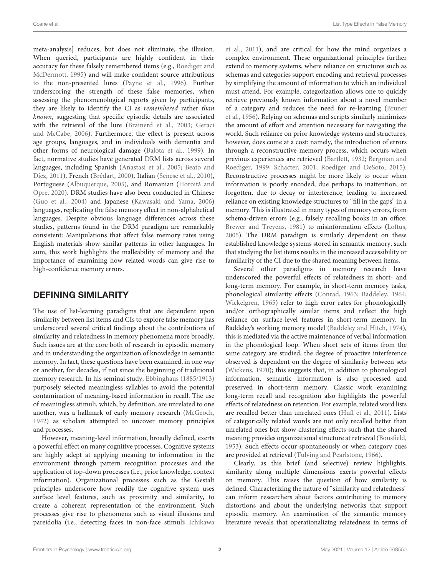meta-analysis] reduces, but does not eliminate, the illusion. When queried, participants are highly confident in their accuracy for these falsely remembered items (e.g., Roediger and McDermott, [1995\)](#page-13-0) and will make confident source attributions to the non-presented lures [\(Payne et al., 1996\)](#page-13-2). Further underscoring the strength of these false memories, when assessing the phenomenological reports given by participants, they are likely to identify the CI as remembered rather than known, suggesting that specific episodic details are associated with the retrieval of the lure [\(Brainerd et al., 2003;](#page-11-2) Geraci and McCabe, [2006\)](#page-12-9). Furthermore, the effect is present across age groups, languages, and in individuals with dementia and other forms of neurological damage [\(Balota et al., 1999\)](#page-11-3). In fact, normative studies have generated DRM lists across several languages, including Spanish [\(Anastasi et al., 2005;](#page-11-4) Beato and Díez, [2011\)](#page-11-5), French [\(Brédart, 2000\)](#page-11-6), Italian [\(Senese et al., 2010\)](#page-14-1), Portuguese [\(Albuquerque, 2005\)](#page-11-7), and Romanian (Horoità and Opre, [2020\)](#page-12-10). DRM studies have also been conducted in Chinese [\(Guo et al., 2004\)](#page-12-11) and Japanese [\(Kawasaki and Yama, 2006\)](#page-12-12) languages, replicating the false memory effect in non-alphabetical languages. Despite obvious language differences across these studies, patterns found in the DRM paradigm are remarkably consistent: Manipulations that affect false memory rates using English materials show similar patterns in other languages. In sum, this work highlights the malleability of memory and the importance of examining how related words can give rise to high-confidence memory errors.

## DEFINING SIMILARITY

The use of list-learning paradigms that are dependent upon similarity between list items and CIs to explore false memory has underscored several critical findings about the contributions of similarity and relatedness in memory phenomena more broadly. Such issues are at the core both of research in episodic memory and in understanding the organization of knowledge in semantic memory. In fact, these questions have been examined, in one way or another, for decades, if not since the beginning of traditional memory research. In his seminal study, [Ebbinghaus \(1885/1913\)](#page-12-13) purposely selected meaningless syllables to avoid the potential contamination of meaning-based information in recall. The use of meaningless stimuli, which, by definition, are unrelated to one another, was a hallmark of early memory research [\(McGeoch,](#page-13-3) [1942\)](#page-13-3) as scholars attempted to uncover memory principles and processes.

However, meaning-level information, broadly defined, exerts a powerful effect on many cognitive processes. Cognitive systems are highly adept at applying meaning to information in the environment through pattern recognition processes and the application of top-down processes (i.e., prior knowledge, context information). Organizational processes such as the Gestalt principles underscore how readily the cognitive system uses surface level features, such as proximity and similarity, to create a coherent representation of the environment. Such processes give rise to phenomena such as visual illusions and pareidolia (i.e., detecting faces in non-face stimuli; Ichikawa et al., [2011\)](#page-12-14), and are critical for how the mind organizes a complex environment. These organizational principles further extend to memory systems, where reliance on structures such as schemas and categories support encoding and retrieval processes by simplifying the amount of information to which an individual must attend. For example, categorization allows one to quickly retrieve previously known information about a novel member of a category and reduces the need for re-learning (Bruner et al., [1956\)](#page-11-8). Relying on schemas and scripts similarly minimizes the amount of effort and attention necessary for navigating the world. Such reliance on prior knowledge systems and structures, however, does come at a cost: namely, the introduction of errors through a reconstructive memory process, which occurs when previous experiences are retrieved [\(Bartlett, 1932;](#page-11-9) Bergman and Roediger, [1999;](#page-11-10) [Schacter, 2001;](#page-13-4) [Roediger and DeSoto, 2015\)](#page-13-5). Reconstructive processes might be more likely to occur when information is poorly encoded, due perhaps to inattention, or forgotten, due to decay or interference, leading to increased reliance on existing knowledge structures to "fill in the gaps" in a memory. This is illustrated in many types of memory errors, from schema-driven errors (e.g., falsely recalling books in an office; [Brewer and Treyens, 1981\)](#page-11-11) to misinformation effects [\(Loftus,](#page-13-6) [2005\)](#page-13-6). The DRM paradigm is similarly dependent on these established knowledge systems stored in semantic memory, such that studying the list items results in the increased accessibility or familiarity of the CI due to the shared meaning between items.

Several other paradigms in memory research have underscored the powerful effects of relatedness in short- and long-term memory. For example, in short-term memory tasks, phonological similarity effects [\(Conrad, 1963;](#page-12-15) [Baddeley, 1964;](#page-11-12) [Wickelgren, 1965\)](#page-14-2) refer to high error rates for phonologically and/or orthographically similar items and reflect the high reliance on surface-level features in short-term memory. In Baddeley's working memory model [\(Baddeley and Hitch, 1974\)](#page-11-13), this is mediated via the active maintenance of verbal information in the phonological loop. When short sets of items from the same category are studied, the degree of proactive interference observed is dependent on the degree of similarity between sets [\(Wickens, 1970\)](#page-14-3); this suggests that, in addition to phonological information, semantic information is also processed and preserved in short-term memory. Classic work examining long-term recall and recognition also highlights the powerful effects of relatedness on retention. For example, related word lists are recalled better than unrelated ones [\(Huff et al., 2011\)](#page-12-16). Lists of categorically related words are not only recalled better than unrelated ones but show clustering effects such that the shared meaning provides organizational structure at retrieval [\(Bousfield,](#page-11-14) [1953\)](#page-11-14). Such effects occur spontaneously or when category cues are provided at retrieval [\(Tulving and Pearlstone, 1966\)](#page-14-4).

Clearly, as this brief (and selective) review highlights, similarity along multiple dimensions exerts powerful effects on memory. This raises the question of how similarity is defined. Characterizing the nature of "similarity and relatedness" can inform researchers about factors contributing to memory distortions and about the underlying networks that support episodic memory. An examination of the semantic memory literature reveals that operationalizing relatedness in terms of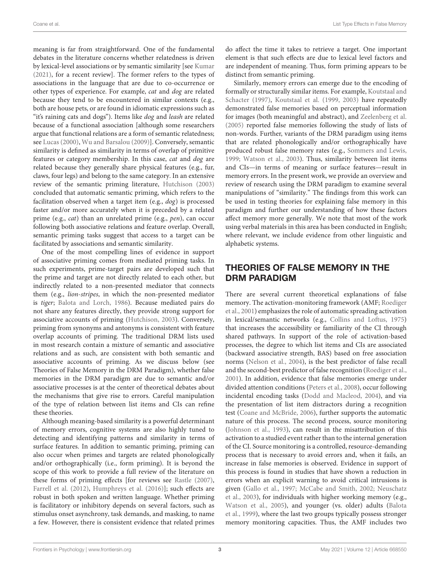meaning is far from straightforward. One of the fundamental debates in the literature concerns whether relatedness is driven by lexical-level associations or by semantic similarity [see [Kumar](#page-13-7) [\(2021\)](#page-13-7), for a recent review]. The former refers to the types of associations in the language that are due to co-occurrence or other types of experience. For example, cat and dog are related because they tend to be encountered in similar contexts (e.g., both are house pets, or are found in idiomatic expressions such as "it's raining cats and dogs"). Items like dog and leash are related because of a functional association [although some researchers argue that functional relations are a form of semantic relatedness; see [Lucas \(2000\)](#page-13-8), [Wu and Barsalou \(2009\)](#page-14-5)]. Conversely, semantic similarity is defined as similarity in terms of overlap of primitive features or category membership. In this case, cat and dog are related because they generally share physical features (e.g., fur, claws, four legs) and belong to the same category. In an extensive review of the semantic priming literature, [Hutchison \(2003\)](#page-12-17) concluded that automatic semantic priming, which refers to the facilitation observed when a target item (e.g., dog) is processed faster and/or more accurately when it is preceded by a related prime (e.g., cat) than an unrelated prime (e.g., pen), can occur following both associative relations and feature overlap. Overall, semantic priming tasks suggest that access to a target can be facilitated by associations and semantic similarity.

One of the most compelling lines of evidence in support of associative priming comes from mediated priming tasks. In such experiments, prime-target pairs are developed such that the prime and target are not directly related to each other, but indirectly related to a non-presented mediator that connects them (e.g., lion-stripes, in which the non-presented mediator is tiger; [Balota and Lorch, 1986\)](#page-11-15). Because mediated pairs do not share any features directly, they provide strong support for associative accounts of priming [\(Hutchison, 2003\)](#page-12-17). Conversely, priming from synonyms and antonyms is consistent with feature overlap accounts of priming. The traditional DRM lists used in most research contain a mixture of semantic and associative relations and as such, are consistent with both semantic and associative accounts of priming. As we discuss below (see Theories of False Memory in the DRM Paradigm), whether false memories in the DRM paradigm are due to semantic and/or associative processes is at the center of theoretical debates about the mechanisms that give rise to errors. Careful manipulation of the type of relation between list items and CIs can refine these theories.

Although meaning-based similarity is a powerful determinant of memory errors, cognitive systems are also highly tuned to detecting and identifying patterns and similarity in terms of surface features. In addition to semantic priming, priming can also occur when primes and targets are related phonologically and/or orthographically (i.e., form priming). It is beyond the scope of this work to provide a full review of the literature on these forms of priming effects [for reviews see [Rastle \(2007\)](#page-13-9), [Farrell et al. \(2012\)](#page-12-18), [Humphreys et al. \(2016\)](#page-12-19)]; such effects are robust in both spoken and written language. Whether priming is facilitatory or inhibitory depends on several factors, such as stimulus onset asynchrony, task demands, and masking, to name a few. However, there is consistent evidence that related primes do affect the time it takes to retrieve a target. One important element is that such effects are due to lexical level factors and are independent of meaning. Thus, form priming appears to be distinct from semantic priming.

Similarly, memory errors can emerge due to the encoding of formally or structurally similar items. For example, Koutstaal and Schacter [\(1997\)](#page-13-10), [Koutstaal et al. \(1999,](#page-13-11) [2003\)](#page-12-20) have repeatedly demonstrated false memories based on perceptual information for images (both meaningful and abstract), and [Zeelenberg et al.](#page-14-6) [\(2005\)](#page-14-6) reported false memories following the study of lists of non-words. Further, variants of the DRM paradigm using items that are related phonologically and/or orthographically have produced robust false memory rates (e.g., [Sommers and Lewis,](#page-14-7) [1999;](#page-14-7) [Watson et al., 2003\)](#page-14-8). Thus, similarity between list items and CIs—in terms of meaning or surface features—result in memory errors. In the present work, we provide an overview and review of research using the DRM paradigm to examine several manipulations of "similarity." The findings from this work can be used in testing theories for explaining false memory in this paradigm and further our understanding of how these factors affect memory more generally. We note that most of the work using verbal materials in this area has been conducted in English; where relevant, we include evidence from other linguistic and alphabetic systems.

# THEORIES OF FALSE MEMORY IN THE DRM PARADIGM

There are several current theoretical explanations of false memory. The activation-monitoring framework (AMF; Roediger et al., [2001\)](#page-13-12) emphasizes the role of automatic spreading activation in lexical/semantic networks (e.g., [Collins and Loftus, 1975\)](#page-12-21) that increases the accessibility or familiarity of the CI through shared pathways. In support of the role of activation-based processes, the degree to which list items and CIs are associated (backward associative strength, BAS) based on free association norms [\(Nelson et al., 2004\)](#page-13-13), is the best predictor of false recall and the second-best predictor of false recognition [\(Roediger et al.,](#page-13-12) [2001\)](#page-13-12). In addition, evidence that false memories emerge under divided attention conditions [\(Peters et al., 2008\)](#page-13-14), occur following incidental encoding tasks [\(Dodd and Macleod, 2004\)](#page-12-22), and via the presentation of list item distractors during a recognition test [\(Coane and McBride, 2006\)](#page-11-16), further supports the automatic nature of this process. The second process, source monitoring [\(Johnson et al., 1993\)](#page-12-23), can result in the misattribution of this activation to a studied event rather than to the internal generation of the CI. Source monitoring is a controlled, resource-demanding process that is necessary to avoid errors and, when it fails, an increase in false memories is observed. Evidence in support of this process is found in studies that have shown a reduction in errors when an explicit warning to avoid critical intrusions is given [\(Gallo et al., 1997;](#page-12-5) [McCabe and Smith, 2002;](#page-13-15) Neuschatz et al., [2003\)](#page-13-16), for individuals with higher working memory (e.g., [Watson et al., 2005\)](#page-14-9), and younger (vs. older) adults (Balota et al., [1999\)](#page-11-3), where the last two groups typically possess stronger memory monitoring capacities. Thus, the AMF includes two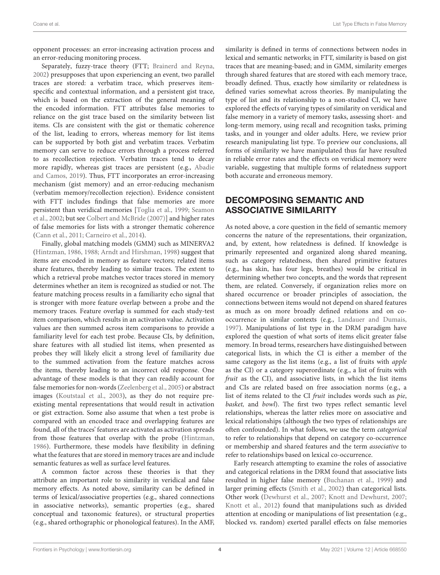opponent processes: an error-increasing activation process and an error-reducing monitoring process.

Separately, fuzzy-trace theory (FTT; [Brainerd and Reyna,](#page-11-17) [2002\)](#page-11-17) presupposes that upon experiencing an event, two parallel traces are stored: a verbatim trace, which preserves itemspecific and contextual information, and a persistent gist trace, which is based on the extraction of the general meaning of the encoded information. FTT attributes false memories to reliance on the gist trace based on the similarity between list items. CIs are consistent with the gist or thematic coherence of the list, leading to errors, whereas memory for list items can be supported by both gist and verbatim traces. Verbatim memory can serve to reduce errors through a process referred to as recollection rejection. Verbatim traces tend to decay more rapidly, whereas gist traces are persistent (e.g., Abadie and Camos, [2019\)](#page-11-18). Thus, FTT incorporates an error-increasing mechanism (gist memory) and an error-reducing mechanism (verbatim memory/recollection rejection). Evidence consistent with FTT includes findings that false memories are more persistent than veridical memories [\[Toglia et al., 1999;](#page-14-10) Seamon et al., [2002;](#page-13-1) but see [Colbert and McBride \(2007\)](#page-12-4)] and higher rates of false memories for lists with a stronger thematic coherence [\(Cann et al., 2011;](#page-11-19) [Carneiro et al., 2014\)](#page-11-20).

Finally, global matching models (GMM) such as MINERVA2 [\(Hintzman, 1986,](#page-12-24) [1988;](#page-12-25) [Arndt and Hirshman, 1998\)](#page-11-21) suggest that items are encoded in memory as feature vectors; related items share features, thereby leading to similar traces. The extent to which a retrieval probe matches vector traces stored in memory determines whether an item is recognized as studied or not. The feature matching process results in a familiarity echo signal that is stronger with more feature overlap between a probe and the memory traces. Feature overlap is summed for each study-test item comparison, which results in an activation value. Activation values are then summed across item comparisons to provide a familiarity level for each test probe. Because CIs, by definition, share features with all studied list items, when presented as probes they will likely elicit a strong level of familiarity due to the summed activation from the feature matches across the items, thereby leading to an incorrect old response. One advantage of these models is that they can readily account for false memories for non-words [\(Zeelenberg et al., 2005\)](#page-14-6) or abstract images [\(Koutstaal et al., 2003\)](#page-12-20), as they do not require preexisting mental representations that would result in activation or gist extraction. Some also assume that when a test probe is compared with an encoded trace and overlapping features are found, all of the traces' features are activated as activation spreads from those features that overlap with the probe [\(Hintzman,](#page-12-24) [1986\)](#page-12-24). Furthermore, these models have flexibility in defining what the features that are stored in memory traces are and include semantic features as well as surface level features.

A common factor across these theories is that they attribute an important role to similarity in veridical and false memory effects. As noted above, similarity can be defined in terms of lexical/associative properties (e.g., shared connections in associative networks), semantic properties (e.g., shared conceptual and taxonomic features), or structural properties (e.g., shared orthographic or phonological features). In the AMF, similarity is defined in terms of connections between nodes in lexical and semantic networks; in FTT, similarity is based on gist traces that are meaning-based; and in GMM, similarity emerges through shared features that are stored with each memory trace, broadly defined. Thus, exactly how similarity or relatedness is defined varies somewhat across theories. By manipulating the type of list and its relationship to a non-studied CI, we have explored the effects of varying types of similarity on veridical and false memory in a variety of memory tasks, assessing short- and long-term memory, using recall and recognition tasks, priming tasks, and in younger and older adults. Here, we review prior research manipulating list type. To preview our conclusions, all forms of similarity we have manipulated thus far have resulted in reliable error rates and the effects on veridical memory were variable, suggesting that multiple forms of relatedness support both accurate and erroneous memory.

# DECOMPOSING SEMANTIC AND ASSOCIATIVE SIMILARITY

As noted above, a core question in the field of semantic memory concerns the nature of the representations, their organization, and, by extent, how relatedness is defined. If knowledge is primarily represented and organized along shared meaning, such as category relatedness, then shared primitive features (e.g., has skin, has four legs, breathes) would be critical in determining whether two concepts, and the words that represent them, are related. Conversely, if organization relies more on shared occurrence or broader principles of association, the connections between items would not depend on shared features as much as on more broadly defined relations and on cooccurrence in similar contexts (e.g., [Landauer and Dumais,](#page-13-17) [1997\)](#page-13-17). Manipulations of list type in the DRM paradigm have explored the question of what sorts of items elicit greater false memory. In broad terms, researchers have distinguished between categorical lists, in which the CI is either a member of the same category as the list items (e.g., a list of fruits with apple as the CI) or a category superordinate (e.g., a list of fruits with fruit as the CI), and associative lists, in which the list items and CIs are related based on free association norms (e.g., a list of items related to the CI fruit includes words such as pie, basket, and bowl). The first two types reflect semantic level relationships, whereas the latter relies more on associative and lexical relationships (although the two types of relationships are often confounded). In what follows, we use the term categorical to refer to relationships that depend on category co-occurrence or membership and shared features and the term associative to refer to relationships based on lexical co-occurrence.

Early research attempting to examine the roles of associative and categorical relations in the DRM found that associative lists resulted in higher false memory [\(Buchanan et al., 1999\)](#page-11-22) and larger priming effects [\(Smith et al., 2002\)](#page-14-11) than categorical lists. Other work [\(Dewhurst et al., 2007;](#page-12-26) [Knott and Dewhurst, 2007;](#page-12-27) [Knott et al., 2012\)](#page-12-28) found that manipulations such as divided attention at encoding or manipulations of list presentation (e.g., blocked vs. random) exerted parallel effects on false memories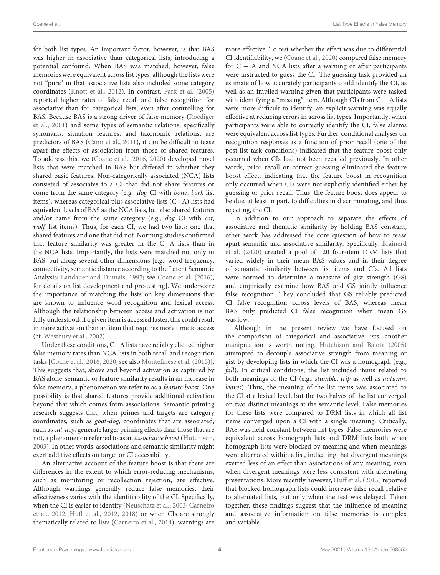for both list types. An important factor, however, is that BAS was higher in associative than categorical lists, introducing a potential confound. When BAS was matched, however, false memories were equivalent across list types, although the lists were not "pure" in that associative lists also included some category coordinates [\(Knott et al., 2012\)](#page-12-28). In contrast, [Park et al. \(2005\)](#page-13-18) reported higher rates of false recall and false recognition for associative than for categorical lists, even after controlling for BAS. Because BAS is a strong driver of false memory (Roediger et al., [2001\)](#page-13-12) and some types of semantic relations, specifically synonyms, situation features, and taxonomic relations, are predictors of BAS [\(Cann et al., 2011\)](#page-11-19), it can be difficult to tease apart the effects of association from those of shared features. To address this, we [\(Coane et al., 2016,](#page-11-23) [2020\)](#page-12-29) developed novel lists that were matched in BAS but differed in whether they shared basic features. Non-categorically associated (NCA) lists consisted of associates to a CI that did not share features or come from the same category (e.g., dog CI with bone, bark list items), whereas categorical plus associative lists (C+A) lists had equivalent levels of BAS as the NCA lists, but also shared features and/or came from the same category (e.g., dog CI with cat, wolf list items). Thus, for each CI, we had two lists: one that shared features and one that did not. Norming studies confirmed that feature similarity was greater in the C+A lists than in the NCA lists. Importantly, the lists were matched not only in BAS, but along several other dimensions [e.g., word frequency, connectivity, semantic distance according to the Latent Semantic Analysis; [Landauer and Dumais, 1997;](#page-13-17) see [Coane et al. \(2016\)](#page-11-23), for details on list development and pre-testing]. We underscore the importance of matching the lists on key dimensions that are known to influence word recognition and lexical access. Although the relationship between access and activation is not fully understood, if a given item is accessed faster, this could result in more activation than an item that requires more time to access (cf. [Westbury et al., 2002\)](#page-14-12).

Under these conditions, C+A lists have reliably elicited higher false memory rates than NCA lists in both recall and recognition tasks [\[Coane et al., 2016,](#page-11-23) [2020;](#page-12-29) see also [Montefinese et al. \(2015\)](#page-13-19)]. This suggests that, above and beyond activation as captured by BAS alone, semantic or feature similarity results in an increase in false memory, a phenomenon we refer to as a feature boost. One possibility is that shared features provide additional activation beyond that which comes from associations. Semantic priming research suggests that, when primes and targets are category coordinates, such as goat-dog, coordinates that are associated, such as cat-dog, generate larger priming effects than those that are not, a phenomenon referred to as an associative boost [\(Hutchison,](#page-12-17) [2003\)](#page-12-17). In other words, associations and semantic similarity might exert additive effects on target or CI accessibility.

An alternative account of the feature boost is that there are differences in the extent to which error-reducing mechanisms, such as monitoring or recollection rejection, are effective. Although warnings generally reduce false memories, their effectiveness varies with the identifiability of the CI. Specifically, when the CI is easier to identify [\(Neuschatz et al., 2003;](#page-13-16) Carneiro et al., [2012;](#page-11-24) [Huff et al., 2012,](#page-12-6) [2018\)](#page-12-30) or when CIs are strongly thematically related to lists [\(Carneiro et al., 2014\)](#page-11-20), warnings are more effective. To test whether the effect was due to differential CI identifiability, we [\(Coane et al., 2020\)](#page-12-29) compared false memory for  $C + A$  and NCA lists after a warning or after participants were instructed to guess the CI. The guessing task provided an estimate of how accurately participants could identify the CI, as well as an implied warning given that participants were tasked with identifying a "missing" item. Although CIs from  $\mathrm{C} + \mathrm{A}$  lists were more difficult to identify, an explicit warning was equally effective at reducing errors in across list types. Importantly, when participants were able to correctly identify the CI, false alarms were equivalent across list types. Further, conditional analyses on recognition responses as a function of prior recall (one of the post-list task conditions) indicated that the feature boost only occurred when CIs had not been recalled previously. In other words, prior recall or correct guessing eliminated the feature boost effect, indicating that the feature boost in recognition only occurred when CIs were not explicitly identified either by guessing or prior recall. Thus, the feature boost does appear to be due, at least in part, to difficulties in discriminating, and thus rejecting, the CI.

In addition to our approach to separate the effects of associative and thematic similarity by holding BAS constant, other work has addressed the core question of how to tease apart semantic and associative similarity. Specifically, Brainerd et al. [\(2020\)](#page-11-25) created a pool of 120 four-item DRM lists that varied widely in their mean BAS values and in their degree of semantic similarity between list items and CIs. All lists were normed to determine a measure of gist strength (GS) and empirically examine how BAS and GS jointly influence false recognition. They concluded that GS reliably predicted CI false recognition across levels of BAS, whereas mean BAS only predicted CI false recognition when mean GS was low.

Although in the present review we have focused on the comparison of categorical and associative lists, another manipulation is worth noting. [Hutchison and Balota \(2005\)](#page-12-31) attempted to decouple associative strength from meaning or gist by developing lists in which the CI was a homograph (e.g., fall). In critical conditions, the list included items related to both meanings of the CI (e.g., stumble, trip as well as autumn, leaves). Thus, the meaning of the list items was associated to the CI at a lexical level, but the two halves of the list converged on two distinct meanings at the semantic level. False memories for these lists were compared to DRM lists in which all list items converged upon a CI with a single meaning. Critically, BAS was held constant between list types. False memories were equivalent across homograph lists and DRM lists both when homograph lists were blocked by meaning and when meanings were alternated within a list, indicating that divergent meanings exerted less of an effect than associations of any meaning, even when divergent meanings were less consistent with alternating presentations. More recently however, [Huff et al. \(2015\)](#page-12-8) reported that blocked homograph lists could increase false recall relative to alternated lists, but only when the test was delayed. Taken together, these findings suggest that the influence of meaning and associative information on false memories is complex and variable.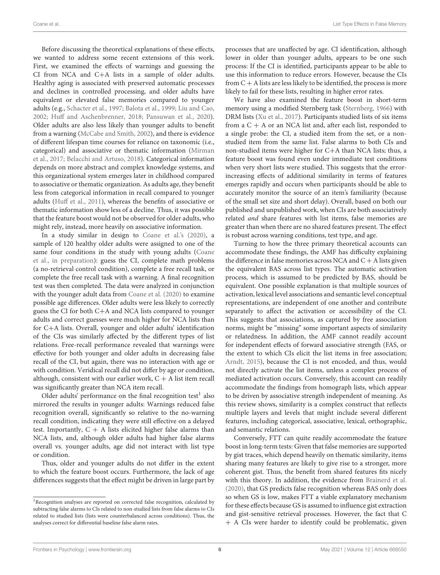Before discussing the theoretical explanations of these effects, we wanted to address some recent extensions of this work. First, we examined the effects of warnings and guessing the CI from NCA and C+A lists in a sample of older adults. Healthy aging is associated with preserved automatic processes and declines in controlled processing, and older adults have equivalent or elevated false memories compared to younger adults (e.g., [Schacter et al., 1997;](#page-13-20) [Balota et al., 1999;](#page-11-3) [Liu and Cao,](#page-13-21) [2002;](#page-13-21) [Huff and Aschenbrenner, 2018;](#page-12-32) [Pansuwan et al., 2020\)](#page-13-22). Older adults are also less likely than younger adults to benefit from a warning [\(McCabe and Smith, 2002\)](#page-13-15), and there is evidence of different lifespan time courses for reliance on taxonomic (i.e., categorical) and associative or thematic information (Mirman et al., [2017;](#page-13-23) [Belacchi and Artuso, 2018\)](#page-11-26). Categorical information depends on more abstract and complex knowledge systems, and this organizational system emerges later in childhood compared to associative or thematic organization. As adults age, they benefit less from categorical information in recall compared to younger adults [\(Huff et al., 2011\)](#page-12-16), whereas the benefits of associative or thematic information show less of a decline. Thus, it was possible that the feature boost would not be observed for older adults, who might rely, instead, more heavily on associative information.

In a study similar in design to [Coane et al.'s \(2020\)](#page-12-29), a sample of 120 healthy older adults were assigned to one of the same four conditions in the study with young adults (Coane et al., [in preparation\)](#page-11-1): guess the CI, complete math problems (a no-retrieval control condition), complete a free recall task, or complete the free recall task with a warning. A final recognition test was then completed. The data were analyzed in conjunction with the younger adult data from [Coane et al. \(2020\)](#page-12-29) to examine possible age differences. Older adults were less likely to correctly guess the CI for both C+A and NCA lists compared to younger adults and correct guesses were much higher for NCA lists than for C+A lists. Overall, younger and older adults' identification of the CIs was similarly affected by the different types of list relations. Free-recall performance revealed that warnings were effective for both younger and older adults in decreasing false recall of the CI, but again, there was no interaction with age or with condition. Veridical recall did not differ by age or condition, although, consistent with our earlier work,  $C + A$  list item recall was significantly greater than NCA item recall.

Older adults' performance on the final recognition test<sup>[1](#page-5-0)</sup> also mirrored the results in younger adults: Warnings reduced false recognition overall, significantly so relative to the no-warning recall condition, indicating they were still effective on a delayed test. Importantly,  $C + A$  lists elicited higher false alarms than NCA lists, and, although older adults had higher false alarms overall vs. younger adults, age did not interact with list type or condition.

Thus, older and younger adults do not differ in the extent to which the feature boost occurs. Furthermore, the lack of age differences suggests that the effect might be driven in large part by

processes that are unaffected by age. CI identification, although lower in older than younger adults, appears to be one such process: If the CI is identified, participants appear to be able to use this information to reduce errors. However, because the CIs from  $C + A$  lists are less likely to be identified, the process is more likely to fail for these lists, resulting in higher error rates.

We have also examined the feature boost in short-term memory using a modified Sternberg task [\(Sternberg, 1966\)](#page-14-13) with DRM lists [\(Xu et al., 2017\)](#page-14-14). Participants studied lists of six items from a  $C + A$  or an NCA list and, after each list, responded to a single probe: the CI, a studied item from the set, or a nonstudied item from the same list. False alarms to both CIs and non-studied items were higher for C+A than NCA lists; thus, a feature boost was found even under immediate test conditions when very short lists were studied. This suggests that the errorincreasing effects of additional similarity in terms of features emerges rapidly and occurs when participants should be able to accurately monitor the source of an item's familiarity (because of the small set size and short delay). Overall, based on both our published and unpublished work, when CIs are both associatively related and share features with list items, false memories are greater than when there are no shared features present. The effect is robust across warning conditions, test type, and age.

Turning to how the three primary theoretical accounts can accommodate these findings, the AMF has difficulty explaining the difference in false memories across NCA and  $C + A$  lists given the equivalent BAS across list types. The automatic activation process, which is assumed to be predicted by BAS, should be equivalent. One possible explanation is that multiple sources of activation, lexical level associations and semantic level conceptual representations, are independent of one another and contribute separately to affect the activation or accessibility of the CI. This suggests that associations, as captured by free association norms, might be "missing" some important aspects of similarity or relatedness. In addition, the AMF cannot readily account for independent effects of forward associative strength (FAS, or the extent to which CIs elicit the list items in free association; [Arndt, 2015\)](#page-11-27), because the CI is not encoded, and thus, would not directly activate the list items, unless a complex process of mediated activation occurs. Conversely, this account can readily accommodate the findings from homograph lists, which appear to be driven by associative strength independent of meaning. As this review shows, similarity is a complex construct that reflects multiple layers and levels that might include several different features, including categorical, associative, lexical, orthographic, and semantic relations.

Conversely, FTT can quite readily accommodate the feature boost in long-term tests: Given that false memories are supported by gist traces, which depend heavily on thematic similarity, items sharing many features are likely to give rise to a stronger, more coherent gist. Thus, the benefit from shared features fits nicely with this theory. In addition, the evidence from [Brainerd et al.](#page-11-25) [\(2020\)](#page-11-25), that GS predicts false recognition whereas BAS only does so when GS is low, makes FTT a viable explanatory mechanism for these effects because GS is assumed to influence gist extraction and gist-sensitive retrieval processes. However, the fact that C + A CIs were harder to identify could be problematic, given

<span id="page-5-0"></span><sup>&</sup>lt;sup>1</sup>Recognition analyses are reported on corrected false recognition, calculated by subtracting false alarms to CIs related to non-studied lists from false alarms to CIs related to studied lists (lists were counterbalanced across conditions). Thus, the analyses correct for differential baseline false alarm rates.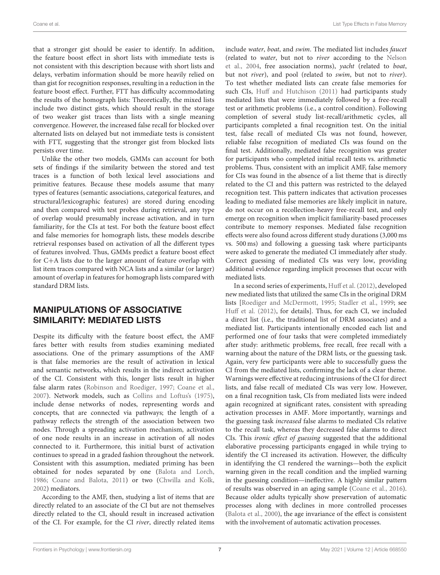that a stronger gist should be easier to identify. In addition, the feature boost effect in short lists with immediate tests is not consistent with this description because with short lists and delays, verbatim information should be more heavily relied on than gist for recognition responses, resulting in a reduction in the feature boost effect. Further, FTT has difficulty accommodating the results of the homograph lists: Theoretically, the mixed lists include two distinct gists, which should result in the storage of two weaker gist traces than lists with a single meaning convergence. However, the increased false recall for blocked over alternated lists on delayed but not immediate tests is consistent with FTT, suggesting that the stronger gist from blocked lists persists over time.

Unlike the other two models, GMMs can account for both sets of findings if the similarity between the stored and test traces is a function of both lexical level associations and primitive features. Because these models assume that many types of features (semantic associations, categorical features, and structural/lexicographic features) are stored during encoding and then compared with test probes during retrieval, any type of overlap would presumably increase activation, and in turn familiarity, for the CIs at test. For both the feature boost effect and false memories for homograph lists, these models describe retrieval responses based on activation of all the different types of features involved. Thus, GMMs predict a feature boost effect for C+A lists due to the larger amount of feature overlap with list item traces compared with NCA lists and a similar (or larger) amount of overlap in features for homograph lists compared with standard DRM lists.

# MANIPULATIONS OF ASSOCIATIVE SIMILARITY: MEDIATED LISTS

Despite its difficulty with the feature boost effect, the AMF fares better with results from studies examining mediated associations. One of the primary assumptions of the AMF is that false memories are the result of activation in lexical and semantic networks, which results in the indirect activation of the CI. Consistent with this, longer lists result in higher false alarm rates [\(Robinson and Roediger, 1997;](#page-13-24) [Coane et al.,](#page-11-0) [2007\)](#page-11-0). Network models, such as [Collins and Loftus's \(1975\)](#page-12-21), include dense networks of nodes, representing words and concepts, that are connected via pathways; the length of a pathway reflects the strength of the association between two nodes. Through a spreading activation mechanism, activation of one node results in an increase in activation of all nodes connected to it. Furthermore, this initial burst of activation continues to spread in a graded fashion throughout the network. Consistent with this assumption, mediated priming has been obtained for nodes separated by one [\(Balota and Lorch,](#page-11-15) [1986;](#page-11-15) [Coane and Balota, 2011\)](#page-11-28) or two [\(Chwilla and Kolk,](#page-11-29) [2002\)](#page-11-29) mediators.

According to the AMF, then, studying a list of items that are directly related to an associate of the CI but are not themselves directly related to the CI, should result in increased activation of the CI. For example, for the CI river, directly related items include water, boat, and swim. The mediated list includes faucet (related to water, but not to river according to the Nelson et al., [2004,](#page-13-13) free association norms), yacht (related to boat, but not *river*), and pool (related to *swim*, but not to *river*). To test whether mediated lists can create false memories for such CIs, [Huff and Hutchison \(2011\)](#page-12-33) had participants study mediated lists that were immediately followed by a free-recall test or arithmetic problems (i.e., a control condition). Following completion of several study list-recall/arithmetic cycles, all participants completed a final recognition test. On the initial test, false recall of mediated CIs was not found, however, reliable false recognition of mediated CIs was found on the final test. Additionally, mediated false recognition was greater for participants who completed initial recall tests vs. arithmetic problems. Thus, consistent with an implicit AMF, false memory for CIs was found in the absence of a list theme that is directly related to the CI and this pattern was restricted to the delayed recognition test. This pattern indicates that activation processes leading to mediated false memories are likely implicit in nature, do not occur on a recollection-heavy free-recall test, and only emerge on recognition when implicit familiarity-based processes contribute to memory responses. Mediated false recognition effects were also found across different study durations (3,000 ms vs. 500 ms) and following a guessing task where participants were asked to generate the mediated CI immediately after study. Correct guessing of mediated CIs was very low, providing additional evidence regarding implicit processes that occur with mediated lists.

In a second series of experiments, [Huff et al. \(2012\)](#page-12-6), developed new mediated lists that utilized the same CIs in the original DRM lists [\[Roediger and McDermott, 1995;](#page-13-0) [Stadler et al., 1999;](#page-14-15) see [Huff et al. \(2012\)](#page-12-6), for details]. Thus, for each CI, we included a direct list (i.e., the traditional list of DRM associates) and a mediated list. Participants intentionally encoded each list and performed one of four tasks that were completed immediately after study: arithmetic problems, free recall, free recall with a warning about the nature of the DRM lists, or the guessing task. Again, very few participants were able to successfully guess the CI from the mediated lists, confirming the lack of a clear theme. Warnings were effective at reducing intrusions of the CI for direct lists, and false recall of mediated CIs was very low. However, on a final recognition task, CIs from mediated lists were indeed again recognized at significant rates, consistent with spreading activation processes in AMF. More importantly, warnings and the guessing task increased false alarms to mediated CIs relative to the recall task, whereas they decreased false alarms to direct CIs. This ironic effect of guessing suggested that the additional elaborative processing participants engaged in while trying to identify the CI increased its activation. However, the difficulty in identifying the CI rendered the warnings—both the explicit warning given in the recall condition and the implied warning in the guessing condition—ineffective. A highly similar pattern of results was observed in an aging sample [\(Coane et al., 2016\)](#page-11-23). Because older adults typically show preservation of automatic processes along with declines in more controlled processes [\(Balota et al., 2000\)](#page-11-30), the age invariance of the effect is consistent with the involvement of automatic activation processes.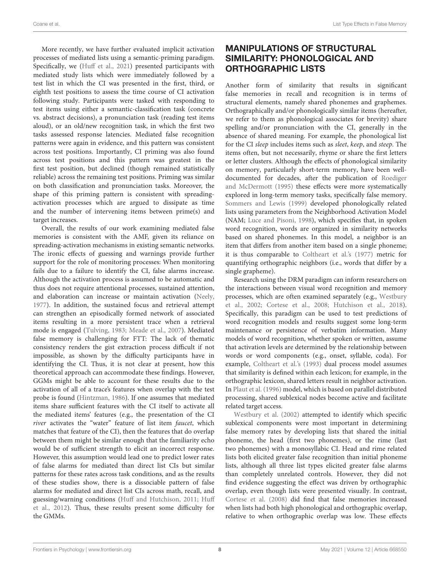More recently, we have further evaluated implicit activation processes of mediated lists using a semantic-priming paradigm. Specifically, we [\(Huff et al., 2021\)](#page-12-34) presented participants with mediated study lists which were immediately followed by a test list in which the CI was presented in the first, third, or eighth test positions to assess the time course of CI activation following study. Participants were tasked with responding to test items using either a semantic-classification task (concrete vs. abstract decisions), a pronunciation task (reading test items aloud), or an old/new recognition task, in which the first two tasks assessed response latencies. Mediated false recognition patterns were again in evidence, and this pattern was consistent across test positions. Importantly, CI priming was also found across test positions and this pattern was greatest in the first test position, but declined (though remained statistically reliable) across the remaining test positions. Priming was similar on both classification and pronunciation tasks. Moreover, the shape of this priming pattern is consistent with spreadingactivation processes which are argued to dissipate as time and the number of intervening items between prime(s) and target increases.

Overall, the results of our work examining mediated false memories is consistent with the AMF, given its reliance on spreading-activation mechanisms in existing semantic networks. The ironic effects of guessing and warnings provide further support for the role of monitoring processes: When monitoring fails due to a failure to identify the CI, false alarms increase. Although the activation process is assumed to be automatic and thus does not require attentional processes, sustained attention, and elaboration can increase or maintain activation [\(Neely,](#page-13-25) [1977\)](#page-13-25). In addition, the sustained focus and retrieval attempt can strengthen an episodically formed network of associated items resulting in a more persistent trace when a retrieval mode is engaged [\(Tulving, 1983;](#page-14-16) [Meade et al., 2007\)](#page-13-26). Mediated false memory is challenging for FTT: The lack of thematic consistency renders the gist extraction process difficult if not impossible, as shown by the difficulty participants have in identifying the CI. Thus, it is not clear at present, how this theoretical approach can accommodate these findings. However, GGMs might be able to account for these results due to the activation of all of a trace's features when overlap with the test probe is found [\(Hintzman, 1986\)](#page-12-24). If one assumes that mediated items share sufficient features with the CI itself to activate all the mediated items' features (e.g., the presentation of the CI river activates the "water" feature of list item faucet, which matches that feature of the CI), then the features that do overlap between them might be similar enough that the familiarity echo would be of sufficient strength to elicit an incorrect response. However, this assumption would lead one to predict lower rates of false alarms for mediated than direct list CIs but similar patterns for these rates across task conditions, and as the results of these studies show, there is a dissociable pattern of false alarms for mediated and direct list CIs across math, recall, and guessing/warning conditions [\(Huff and Hutchison, 2011;](#page-12-33) Huff et al., [2012\)](#page-12-6). Thus, these results present some difficulty for the GMMs.

## MANIPULATIONS OF STRUCTURAL SIMILARITY: PHONOLOGICAL AND ORTHOGRAPHIC LISTS

Another form of similarity that results in significant false memories in recall and recognition is in terms of structural elements, namely shared phonemes and graphemes. Orthographically and/or phonologically similar items (hereafter, we refer to them as phonological associates for brevity) share spelling and/or pronunciation with the CI, generally in the absence of shared meaning. For example, the phonological list for the CI sleep includes items such as sleet, keep, and steep. The items often, but not necessarily, rhyme or share the first letters or letter clusters. Although the effects of phonological similarity on memory, particularly short-term memory, have been welldocumented for decades, after the publication of Roediger and McDermott [\(1995\)](#page-13-0) these effects were more systematically explored in long-term memory tasks, specifically false memory. [Sommers and Lewis \(1999\)](#page-14-7) developed phonologically related lists using parameters from the Neighborhood Activation Model (NAM; [Luce and Pisoni, 1998\)](#page-13-27), which specifies that, in spoken word recognition, words are organized in similarity networks based on shared phonemes. In this model, a neighbor is an item that differs from another item based on a single phoneme; it is thus comparable to [Coltheart et al.'s \(1977\)](#page-12-35) metric for quantifying orthographic neighbors (i.e., words that differ by a single grapheme).

Research using the DRM paradigm can inform researchers on the interactions between visual word recognition and memory processes, which are often examined separately (e.g., Westbury et al., [2002;](#page-14-12) [Cortese et al., 2008;](#page-12-36) [Hutchison et al., 2018\)](#page-12-37). Specifically, this paradigm can be used to test predictions of word recognition models and results suggest some long-term maintenance or persistence of verbatim information. Many models of word recognition, whether spoken or written, assume that activation levels are determined by the relationship between words or word components (e.g., onset, syllable, coda). For example, [Coltheart et al.'s \(1993\)](#page-12-38) dual process model assumes that similarity is defined within each lexicon; for example, in the orthographic lexicon, shared letters result in neighbor activation. In [Plaut et al. \(1996\)](#page-13-28) model, which is based on parallel distributed processing, shared sublexical nodes become active and facilitate related target access.

[Westbury et al. \(2002\)](#page-14-12) attempted to identify which specific sublexical components were most important in determining false memory rates by developing lists that shared the initial phoneme, the head (first two phonemes), or the rime (last two phonemes) with a monosyllabic CI. Head and rime related lists both elicited greater false recognition than initial phoneme lists, although all three list types elicited greater false alarms than completely unrelated controls. However, they did not find evidence suggesting the effect was driven by orthographic overlap, even though lists were presented visually. In contrast, [Cortese et al. \(2008\)](#page-12-36) did find that false memories increased when lists had both high phonological and orthographic overlap, relative to when orthographic overlap was low. These effects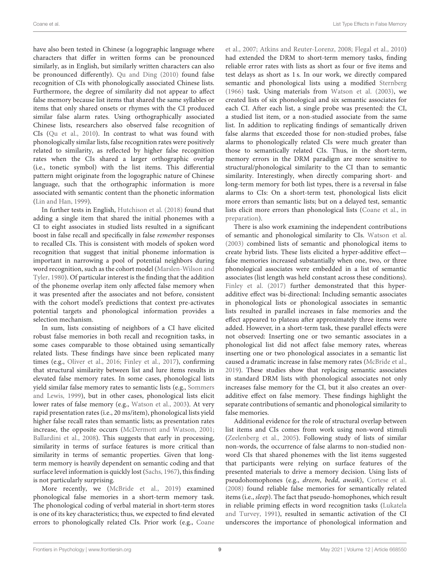have also been tested in Chinese (a logographic language where characters that differ in written forms can be pronounced similarly, as in English, but similarly written characters can also be pronounced differently). [Qu and Ding \(2010\)](#page-13-29) found false recognition of CIs with phonologically associated Chinese lists. Furthermore, the degree of similarity did not appear to affect false memory because list items that shared the same syllables or items that only shared onsets or rhymes with the CI produced similar false alarm rates. Using orthographically associated Chinese lists, researchers also observed false recognition of CIs [\(Qu et al., 2010\)](#page-13-30). In contrast to what was found with phonologically similar lists, false recognition rates were positively related to similarity, as reflected by higher false recognition rates when the CIs shared a larger orthographic overlap (i.e., tonetic symbol) with the list items. This differential pattern might originate from the logographic nature of Chinese language, such that the orthographic information is more associated with semantic content than the phonetic information [\(Lin and Han, 1999\)](#page-13-31).

In further tests in English, [Hutchison et al. \(2018\)](#page-12-37) found that adding a single item that shared the initial phonemes with a CI to eight associates in studied lists resulted in a significant boost in false recall and specifically in false remember responses to recalled CIs. This is consistent with models of spoken word recognition that suggest that initial phoneme information is important in narrowing a pool of potential neighbors during word recognition, such as the cohort model (Marslen-Wilson and Tyler, [1980\)](#page-13-32). Of particular interest is the finding that the addition of the phoneme overlap item only affected false memory when it was presented after the associates and not before, consistent with the cohort model's predictions that context pre-activates potential targets and phonological information provides a selection mechanism.

In sum, lists consisting of neighbors of a CI have elicited robust false memories in both recall and recognition tasks, in some cases comparable to those obtained using semantically related lists. These findings have since been replicated many times (e.g., [Oliver et al., 2016;](#page-13-33) [Finley et al., 2017\)](#page-12-39), confirming that structural similarity between list and lure items results in elevated false memory rates. In some cases, phonological lists yield similar false memory rates to semantic lists (e.g., Sommers and Lewis, [1999\)](#page-14-7), but in other cases, phonological lists elicit lower rates of false memory (e.g., [Watson et al., 2003\)](#page-14-8). At very rapid presentation rates (i.e., 20 ms/item), phonological lists yield higher false recall rates than semantic lists; as presentation rates increase, the opposite occurs [\(McDermott and Watson, 2001;](#page-13-34) [Ballardini et al., 2008\)](#page-11-31). This suggests that early in processing, similarity in terms of surface features is more critical than similarity in terms of semantic properties. Given that longterm memory is heavily dependent on semantic coding and that surface level information is quickly lost [\(Sachs, 1967\)](#page-13-35), this finding is not particularly surprising.

More recently, we [\(McBride et al., 2019\)](#page-13-36) examined phonological false memories in a short-term memory task. The phonological coding of verbal material in short-term stores is one of its key characteristics; thus, we expected to find elevated errors to phonologically related CIs. Prior work (e.g., Coane et al., [2007;](#page-11-0) [Atkins and Reuter-Lorenz, 2008;](#page-11-32) [Flegal et al., 2010\)](#page-12-40) had extended the DRM to short-term memory tasks, finding reliable error rates with lists as short as four or five items and test delays as short as 1 s. In our work, we directly compared semantic and phonological lists using a modified [Sternberg](#page-14-13) [\(1966\)](#page-14-13) task. Using materials from [Watson et al. \(2003\)](#page-14-8), we created lists of six phonological and six semantic associates for each CI. After each list, a single probe was presented: the CI, a studied list item, or a non-studied associate from the same list. In addition to replicating findings of semantically driven false alarms that exceeded those for non-studied probes, false alarms to phonologically related CIs were much greater than those to semantically related CIs. Thus, in the short-term, memory errors in the DRM paradigm are more sensitive to structural/phonological similarity to the CI than to semantic similarity. Interestingly, when directly comparing short- and long-term memory for both list types, there is a reversal in false alarms to CIs: On a short-term test, phonological lists elicit more errors than semantic lists; but on a delayed test, semantic lists elicit more errors than phonological lists [\(Coane et al.,](#page-11-1) in preparation).

There is also work examining the independent contributions of semantic and phonological similarity to CIs. [Watson et al.](#page-14-8) [\(2003\)](#page-14-8) combined lists of semantic and phonological items to create hybrid lists. These lists elicited a hyper-additive effect false memories increased substantially when one, two, or three phonological associates were embedded in a list of semantic associates (list length was held constant across these conditions). [Finley et al. \(2017\)](#page-12-39) further demonstrated that this hyperadditive effect was bi-directional: Including semantic associates in phonological lists or phonological associates in semantic lists resulted in parallel increases in false memories and the effect appeared to plateau after approximately three items were added. However, in a short-term task, these parallel effects were not observed: Inserting one or two semantic associates in a phonological list did not affect false memory rates, whereas inserting one or two phonological associates in a semantic list caused a dramatic increase in false memory rates [\(McBride et al.,](#page-13-36) [2019\)](#page-13-36). These studies show that replacing semantic associates in standard DRM lists with phonological associates not only increases false memory for the CI, but it also creates an overadditive effect on false memory. These findings highlight the separate contributions of semantic and phonological similarity to false memories.

Additional evidence for the role of structural overlap between list items and CIs comes from work using non-word stimuli [\(Zeelenberg et al., 2005\)](#page-14-6). Following study of lists of similar non-words, the occurrence of false alarms to non-studied nonword CIs that shared phonemes with the list items suggested that participants were relying on surface features of the presented materials to drive a memory decision. Using lists of pseudohomophones (e.g., dreem, bedd, awaik), [Cortese et al.](#page-12-36) [\(2008\)](#page-12-36) found reliable false memories for semantically related items (i.e., sleep). The fact that pseudo-homophones, which result in reliable priming effects in word recognition tasks (Lukatela and Turvey, [1991\)](#page-13-37), resulted in semantic activation of the CI underscores the importance of phonological information and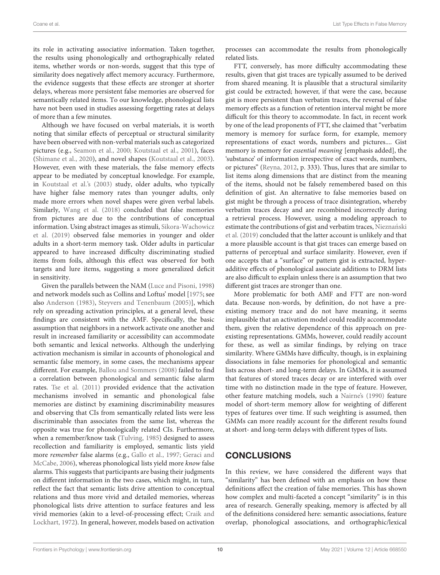its role in activating associative information. Taken together, the results using phonologically and orthographically related items, whether words or non-words, suggest that this type of similarity does negatively affect memory accuracy. Furthermore, the evidence suggests that these effects are stronger at shorter delays, whereas more persistent false memories are observed for semantically related items. To our knowledge, phonological lists have not been used in studies assessing forgetting rates at delays of more than a few minutes.

Although we have focused on verbal materials, it is worth noting that similar effects of perceptual or structural similarity have been observed with non-verbal materials such as categorized pictures (e.g., [Seamon et al., 2000;](#page-14-17) [Koutstaal et al., 2001\)](#page-13-38), faces [\(Shimane et al., 2020\)](#page-14-18), and novel shapes [\(Koutstaal et al., 2003\)](#page-12-20). However, even with these materials, the false memory effects appear to be mediated by conceptual knowledge. For example, in [Koutstaal et al.'s \(2003\)](#page-12-20) study, older adults, who typically have higher false memory rates than younger adults, only made more errors when novel shapes were given verbal labels. Similarly, [Wang et al. \(2018\)](#page-14-19) concluded that false memories from pictures are due to the contributions of conceptual information. Using abstract images as stimuli, Sikora-Wachowicz et al. [\(2019\)](#page-14-20) observed false memories in younger and older adults in a short-term memory task. Older adults in particular appeared to have increased difficulty discriminating studied items from foils, although this effect was observed for both targets and lure items, suggesting a more generalized deficit in sensitivity.

Given the parallels between the NAM [\(Luce and Pisoni, 1998\)](#page-13-27) and network models such as Collins and Loftus' model [\[1975;](#page-12-21) see also [Anderson \(1983\)](#page-11-33), [Steyvers and Tenenbaum \(2005\)](#page-14-21)], which rely on spreading activation principles, at a general level, these findings are consistent with the AMF. Specifically, the basic assumption that neighbors in a network activate one another and result in increased familiarity or accessibility can accommodate both semantic and lexical networks. Although the underlying activation mechanism is similar in accounts of phonological and semantic false memory, in some cases, the mechanisms appear different. For example, [Ballou and Sommers \(2008\)](#page-11-34) failed to find a correlation between phonological and semantic false alarm rates. [Tse et al. \(2011\)](#page-14-22) provided evidence that the activation mechanisms involved in semantic and phonological false memories are distinct by examining discriminability measures and observing that CIs from semantically related lists were less discriminable than associates from the same list, whereas the opposite was true for phonologically related CIs. Furthermore, when a remember/know task [\(Tulving, 1985\)](#page-14-23) designed to assess recollection and familiarity is employed, semantic lists yield more remember false alarms (e.g., [Gallo et al., 1997;](#page-12-5) Geraci and McCabe, [2006\)](#page-12-9), whereas phonological lists yield more know false alarms. This suggests that participants are basing their judgments on different information in the two cases, which might, in turn, reflect the fact that semantic lists drive attention to conceptual relations and thus more vivid and detailed memories, whereas phonological lists drive attention to surface features and less vivid memories (akin to a level-of-processing effect; Craik and Lockhart, [1972\)](#page-12-41). In general, however, models based on activation processes can accommodate the results from phonologically related lists.

FTT, conversely, has more difficulty accommodating these results, given that gist traces are typically assumed to be derived from shared meaning. It is plausible that a structural similarity gist could be extracted; however, if that were the case, because gist is more persistent than verbatim traces, the reversal of false memory effects as a function of retention interval might be more difficult for this theory to accommodate. In fact, in recent work by one of the lead proponents of FTT, she claimed that "verbatim memory is memory for surface form, for example, memory representations of exact words, numbers and pictures.... Gist memory is memory for essential meaning [emphasis added], the 'substance' of information irrespective of exact words, numbers, or pictures" [\(Reyna, 2012,](#page-13-39) p. 333). Thus, lures that are similar to list items along dimensions that are distinct from the meaning of the items, should not be falsely remembered based on this definition of gist. An alternative to false memories based on gist might be through a process of trace disintegration, whereby verbatim traces decay and are recombined incorrectly during a retrieval process. However, using a modeling approach to estimate the contributions of gist and verbatim traces, Nieznański et al. [\(2019\)](#page-13-40) concluded that the latter account is unlikely and that a more plausible account is that gist traces can emerge based on patterns of perceptual and surface similarity. However, even if one accepts that a "surface" or pattern gist is extracted, hyperadditive effects of phonological associate additions to DRM lists are also difficult to explain unless there is an assumption that two different gist traces are stronger than one.

More problematic for both AMF and FTT are non-word data. Because non-words, by definition, do not have a preexisting memory trace and do not have meaning, it seems implausible that an activation model could readily accommodate them, given the relative dependence of this approach on preexisting representations. GMMs, however, could readily account for these, as well as similar findings, by relying on trace similarity. Where GMMs have difficulty, though, is in explaining dissociations in false memories for phonological and semantic lists across short- and long-term delays. In GMMs, it is assumed that features of stored traces decay or are interfered with over time with no distinction made in the type of feature. However, other feature matching models, such a [Nairne's \(1990\)](#page-13-41) feature model of short-term memory allow for weighting of different types of features over time. If such weighting is assumed, then GMMs can more readily account for the different results found at short- and long-term delays with different types of lists.

## **CONCLUSIONS**

In this review, we have considered the different ways that "similarity" has been defined with an emphasis on how these definitions affect the creation of false memories. This has shown how complex and multi-faceted a concept "similarity" is in this area of research. Generally speaking, memory is affected by all of the definitions considered here: semantic associations, feature overlap, phonological associations, and orthographic/lexical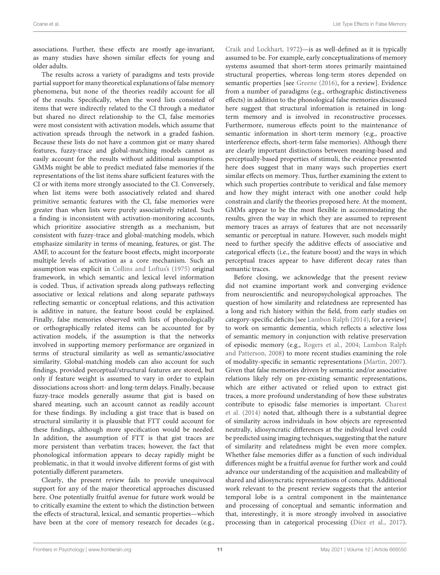associations. Further, these effects are mostly age-invariant, as many studies have shown similar effects for young and older adults.

The results across a variety of paradigms and tests provide partial support for many theoretical explanations of false memory phenomena, but none of the theories readily account for all of the results. Specifically, when the word lists consisted of items that were indirectly related to the CI through a mediator but shared no direct relationship to the CI, false memories were most consistent with activation models, which assume that activation spreads through the network in a graded fashion. Because these lists do not have a common gist or many shared features, fuzzy-trace and global-matching models cannot as easily account for the results without additional assumptions. GMMs might be able to predict mediated false memories if the representations of the list items share sufficient features with the CI or with items more strongly associated to the CI. Conversely, when list items were both associatively related and shared primitive semantic features with the CI, false memories were greater than when lists were purely associatively related. Such a finding is inconsistent with activation-monitoring accounts, which prioritize associative strength as a mechanism, but consistent with fuzzy-trace and global-matching models, which emphasize similarity in terms of meaning, features, or gist. The AMF, to account for the feature boost effects, might incorporate multiple levels of activation as a core mechanism. Such an assumption was explicit in [Collins and Loftus's \(1975\)](#page-12-21) original framework, in which semantic and lexical level information is coded. Thus, if activation spreads along pathways reflecting associative or lexical relations and along separate pathways reflecting semantic or conceptual relations, and this activation is additive in nature, the feature boost could be explained. Finally, false memories observed with lists of phonologically or orthographically related items can be accounted for by activation models, if the assumption is that the networks involved in supporting memory performance are organized in terms of structural similarity as well as semantic/associative similarity. Global-matching models can also account for such findings, provided perceptual/structural features are stored, but only if feature weight is assumed to vary in order to explain dissociations across short- and long-term delays. Finally, because fuzzy-trace models generally assume that gist is based on shared meaning, such an account cannot as readily account for these findings. By including a gist trace that is based on structural similarity it is plausible that FTT could account for these findings, although more specification would be needed. In addition, the assumption of FTT is that gist traces are more persistent than verbatim traces; however, the fact that phonological information appears to decay rapidly might be problematic, in that it would involve different forms of gist with potentially different parameters.

Clearly, the present review fails to provide unequivocal support for any of the major theoretical approaches discussed here. One potentially fruitful avenue for future work would be to critically examine the extent to which the distinction between the effects of structural, lexical, and semantic properties—which have been at the core of memory research for decades (e.g., [Craik and Lockhart, 1972\)](#page-12-41)—is as well-defined as it is typically assumed to be. For example, early conceptualizations of memory systems assumed that short-term stores primarily maintained structural properties, whereas long-term stores depended on semantic properties [see [Greene \(2016\)](#page-12-42), for a review]. Evidence from a number of paradigms (e.g., orthographic distinctiveness effects) in addition to the phonological false memories discussed here suggest that structural information is retained in longterm memory and is involved in reconstructive processes. Furthermore, numerous effects point to the maintenance of semantic information in short-term memory (e.g., proactive interference effects, short-term false memories). Although there are clearly important distinctions between meaning-based and perceptually-based properties of stimuli, the evidence presented here does suggest that in many ways such properties exert similar effects on memory. Thus, further examining the extent to which such properties contribute to veridical and false memory and how they might interact with one another could help constrain and clarify the theories proposed here. At the moment, GMMs appear to be the most flexible in accommodating the results, given the way in which they are assumed to represent memory traces as arrays of features that are not necessarily semantic or perceptual in nature. However, such models might need to further specify the additive effects of associative and categorical effects (i.e., the feature boost) and the ways in which perceptual traces appear to have different decay rates than semantic traces.

Before closing, we acknowledge that the present review did not examine important work and converging evidence from neuroscientific and neuropsychological approaches. The question of how similarity and relatedness are represented has a long and rich history within the field, from early studies on category-specific deficits [see [Lambon Ralph \(2014\)](#page-13-42), for a review] to work on semantic dementia, which reflects a selective loss of semantic memory in conjunction with relative preservation of episodic memory (e.g., [Rogers et al., 2004;](#page-13-43) Lambon Ralph and Patterson, [2008\)](#page-13-44) to more recent studies examining the role of modality-specific in semantic representations [\(Martin, 2007\)](#page-13-45). Given that false memories driven by semantic and/or associative relations likely rely on pre-existing semantic representations, which are either activated or relied upon to extract gist traces, a more profound understanding of how these substrates contribute to episodic false memories is important. Charest et al. [\(2014\)](#page-11-35) noted that, although there is a substantial degree of similarity across individuals in how objects are represented neutrally, idiosyncratic differences at the individual level could be predicted using imaging techniques, suggesting that the nature of similarity and relatedness might be even more complex. Whether false memories differ as a function of such individual differences might be a fruitful avenue for further work and could advance our understanding of the acquisition and malleability of shared and idiosyncratic representations of concepts. Additional work relevant to the present review suggests that the anterior temporal lobe is a central component in the maintenance and processing of conceptual and semantic information and that, interestingly, it is more strongly involved in associative processing than in categorical processing [\(Díez et al., 2017\)](#page-12-43).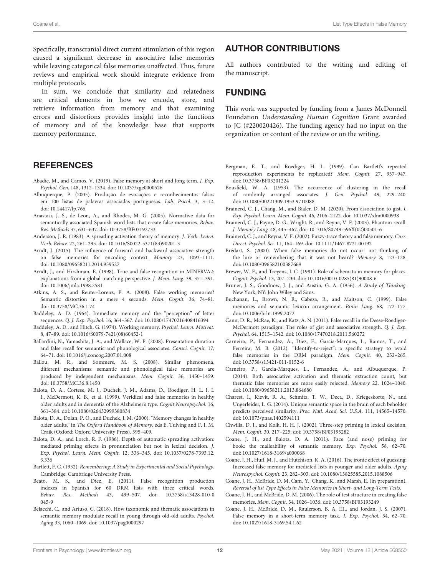Specifically, transcranial direct current stimulation of this region caused a significant decrease in associative false memories while leaving categorical false memories unaffected. Thus, future reviews and empirical work should integrate evidence from multiple protocols.

In sum, we conclude that similarity and relatedness are critical elements in how we encode, store, and retrieve information from memory and that examining errors and distortions provides insight into the functions of memory and of the knowledge base that supports memory performance.

#### **REFERENCES**

- <span id="page-11-18"></span>Abadie, M., and Camos, V. (2019). False memory at short and long term. J. Exp. Psychol. Gen. 148, 1312–1334. doi: [10.1037/xge0000526](https://doi.org/10.1037/xge0000526)
- <span id="page-11-7"></span>Albuquerque, P. (2005). Produção de evocações e reconhecimentos falsos em 100 listas de palavras associadas portuguesas. Lab. Psicol. 3, 3–12. doi: [10.14417/lp.766](https://doi.org/10.14417/lp.766)
- <span id="page-11-4"></span>Anastasi, J. S., de Leon, A., and Rhodes, M. G. (2005). Normative data for semantically associated Spanish word lists that create false memories. Behav. Res. Methods 37, 631–637. doi: [10.3758/BF03192733](https://doi.org/10.3758/BF03192733)
- <span id="page-11-33"></span>Anderson, J. R. (1983). A spreading activation theory of memory. J. Verb. Learn. Verb. Behav. 22, 261–295. doi: [10.1016/S0022-5371\(83\)90201-3](https://doi.org/10.1016/S0022-5371(83)90201-3)
- <span id="page-11-27"></span>Arndt, J. (2015). The influence of forward and backward associative strength on false memories for encoding context. Memory 23, 1093–1111. doi: [10.1080/09658211.2014.959527](https://doi.org/10.1080/09658211.2014.959527)
- <span id="page-11-21"></span>Arndt, J., and Hirshman, E. (1998). True and false recognition in MINERVA2: explanations from a global matching perspective. J. Mem. Lang. 39, 371–391. doi: [10.1006/jmla.1998.2581](https://doi.org/10.1006/jmla.1998.2581)
- <span id="page-11-32"></span>Atkins, A. S., and Reuter-Lorenz, P. A. (2008). False working memories? Semantic distortion in a mere 4 seconds. Mem. Cognit. 36, 74–81. doi: [10.3758/MC.36.1.74](https://doi.org/10.3758/MC.36.1.74)
- <span id="page-11-12"></span>Baddeley, A. D. (1964). Immediate memory and the "perception" of letter sequences. Q. J. Exp. Psychol. 16, 364–367. doi: [10.1080/17470216408416394](https://doi.org/10.1080/17470216408416394)
- <span id="page-11-13"></span>Baddeley, A. D., and Hitch, G. (1974). Working memory. Psychol. Learn. Motivat. 8, 47–89. doi: [10.1016/S0079-7421\(08\)60452-1](https://doi.org/10.1016/S0079-7421(08)60452-1)
- <span id="page-11-31"></span>Ballardini, N., Yamashita, J. A., and Wallace, W. P. (2008). Presentation duration and false recall for semantic and phonological associates. Consci. Cognit. 17, 64–71. doi: [10.1016/j.concog.2007.01.008](https://doi.org/10.1016/j.concog.2007.01.008)
- <span id="page-11-34"></span>Ballou, M. R., and Sommers, M. S. (2008). Similar phenomena, different mechanisms: semantic and phonological false memories are produced by independent mechanisms. Mem. Cognit. 36, 1450–1459. doi: [10.3758/MC.36.8.1450](https://doi.org/10.3758/MC.36.8.1450)
- <span id="page-11-3"></span>Balota, D. A., Cortese, M. J., Duchek, J. M., Adams, D., Roediger, H. L. I. I. I., McDermott, K. B., et al. (1999). Veridical and false memories in healthy older adults and in dementia of the Alzheimer's type. Cognit Neuropsychol. 16, 361–384. doi: [10.1080/026432999380834](https://doi.org/10.1080/026432999380834)
- <span id="page-11-30"></span>Balota, D. A., Dolan, P. O., and Duchek, J. M. (2000). "Memory changes in healthy older adults," in The Oxford Handbook of Memory, eds E. Tulving and F. I. M. Craik (Oxford: Oxford University Press), 395–409.
- <span id="page-11-15"></span>Balota, D. A., and Lorch, R. F. (1986). Depth of automatic spreading activation: mediated priming effects in pronunciation but not in lexical decision. J. Exp. Psychol. Learn. Mem. Cognit. [12, 336–345. doi: 10.1037/0278-7393.12.](https://doi.org/10.1037/0278-7393.12.3.336) 3.336
- <span id="page-11-9"></span>Bartlett, F. C. (1932). Remembering: A Study in Experimental and Social Psychology. Cambridge: Cambridge University Press.
- <span id="page-11-5"></span>Beato, M. S., and Díez, E. (2011). False recognition production indexes in Spanish for 60 DRM lists with three critical words. Behav. Res. Methods [43, 499–507. doi: 10.3758/s13428-010-0](https://doi.org/10.3758/s13428-010-0045-9) 045-9
- <span id="page-11-26"></span>Belacchi, C., and Artuso, C. (2018). How taxonomic and thematic associations in semantic memory modulate recall in young through old-old adults. Psychol. Aging 33, 1060–1069. doi: [10.1037/pag0000297](https://doi.org/10.1037/pag0000297)

#### AUTHOR CONTRIBUTIONS

All authors contributed to the writing and editing of the manuscript.

### FUNDING

This work was supported by funding from a James McDonnell Foundation Understanding Human Cognition Grant awarded to JC (#220020426). The funding agency had no input on the organization or content of the review or on the writing.

- <span id="page-11-10"></span>Bergman, E. T., and Roediger, H. L. (1999). Can Bartlett's repeated reproduction experiments be replicated? Mem. Cognit. 27, 937–947. doi: [10.3758/BF03201224](https://doi.org/10.3758/BF03201224)
- <span id="page-11-14"></span>Bousfield, W. A. (1953). The occurrence of clustering in the recall of randomly arranged associates. J. Gen. Psychol. 49, 229–240. doi: [10.1080/00221309.1953.9710088](https://doi.org/10.1080/00221309.1953.9710088)
- <span id="page-11-25"></span>Brainerd, C. J., Chang, M., and Bialer, D. M. (2020). From association to gist. J. Exp. Psychol. Learn. Mem. Cognit. 46, 2106–2122. doi: [10.1037/xlm0000938](https://doi.org/10.1037/xlm0000938)
- <span id="page-11-2"></span>Brainerd, C. J., Payne, D. G., Wright, R., and Reyna, V. F. (2003). Phantom recall. J. Memory Lang. 48, 445–467. doi: [10.1016/S0749-596X\(02\)00501-6](https://doi.org/10.1016/S0749-596X(02)00501-6)
- <span id="page-11-17"></span>Brainerd, C. J., and Reyna, V. F. (2002). Fuzzy-trace theory and false memory. Curr. Direct. Psychol. Sci. 11, 164–169. doi: [10.1111/1467-8721.00192](https://doi.org/10.1111/1467-8721.00192)
- <span id="page-11-6"></span>Brédart, S. (2000). When false memories do not occur: not thinking of the lure or remembering that it was not heard? Memory 8, 123–128. doi: [10.1080/096582100387669](https://doi.org/10.1080/096582100387669)
- <span id="page-11-11"></span>Brewer, W. F., and Treyens, J. C. (1981). Role of schemata in memory for places. Cognit. Psychol. 13, 207–230. doi: [10.1016/0010-0285\(81\)90008-6](https://doi.org/10.1016/0010-0285(81)90008-6)
- <span id="page-11-8"></span>Bruner, J. S., Goodnow, J. J., and Austin, G. A. (1956). A Study of Thinking. New York, NY: John Wiley and Sons.
- <span id="page-11-22"></span>Buchanan, L., Brown, N. R., Cabeza, R., and Maitson, C. (1999). False memories and semantic lexicon arrangement. Brain Lang. 68, 172–177. doi: [10.1006/brln.1999.2072](https://doi.org/10.1006/brln.1999.2072)
- <span id="page-11-19"></span>Cann, D. R., McRae, K., and Katz, A. N. (2011). False recall in the Deese-Roediger-McDermott paradigm: The roles of gist and associative strength. Q. J. Exp. Psychol. 64, 1515–1542. doi: [10.1080/17470218.2011.560272](https://doi.org/10.1080/17470218.2011.560272)
- <span id="page-11-24"></span>Carneiro, P., Fernandez, A., Diez, E., Garcia-Marques, L., Ramos, T., and Ferreira, M. B. (2012). "Identify-to-reject": a specific strategy to avoid false memories in the DRM paradigm. Mem. Cognit. 40, 252–265. doi: [10.3758/s13421-011-0152-6](https://doi.org/10.3758/s13421-011-0152-6)
- <span id="page-11-20"></span>Carneiro, P., Garcia-Marques, L., Fernandez, A., and Albuquerque, P. (2014). Both associative activation and thematic extraction count, but thematic false memories are more easily rejected. Memory 22, 1024–1040. doi: [10.1080/09658211.2013.864680](https://doi.org/10.1080/09658211.2013.864680)
- <span id="page-11-35"></span>Charest, I., Kievit, R. A., Schmitz, T. W., Deca, D., Kriegeskorte, N., and Ungerleider, L. G. (2014). Unique semantic space in the brain of each beholder predicts perceived similarity. Proc. Natl. Acad. Sci. U.S.A. 111, 14565–14570. doi: [10.1073/pnas.1402594111](https://doi.org/10.1073/pnas.1402594111)
- <span id="page-11-29"></span>Chwilla, D. J., and Kolk, H. H. J. (2002). Three-step priming in lexical decision. Mem. Cognit. 30, 217–225. doi: [10.3758/BF03195282](https://doi.org/10.3758/BF03195282)
- <span id="page-11-28"></span>Coane, J. H., and Balota, D. A. (2011). Face (and nose) priming for book: the malleability of semantic memory. Exp. Psychol. 58, 62–70. doi: [10.1027/1618-3169/a000068](https://doi.org/10.1027/1618-3169/a000068)
- <span id="page-11-23"></span>Coane, J. H., Huff, M. J., and Hutchison, K. A. (2016). The ironic effect of guessing: Increased false memory for mediated lists in younger and older adults. Aging Neurospychol. Cognit. 23, 282–303. doi: [10.1080/13825585.2015.1088506](https://doi.org/10.1080/13825585.2015.1088506)
- <span id="page-11-1"></span>Coane, J. H., McBride, D. M, Cam, Y., Chang, K., and Marsh, E. (in preparation). Reversal of list Type Effects in False Memories in Short- and Long-Term Tests.
- <span id="page-11-16"></span>Coane, J. H., and McBride, D. M. (2006). The role of test structure in creating false memories. Mem. Cognit. 34, 1026–1036. doi: [10.3758/BF03193249](https://doi.org/10.3758/BF03193249)
- <span id="page-11-0"></span>Coane, J. H., McBride, D. M., Raulerson, B. A. III., and Jordan, J. S. (2007). False memory in a short-term memory task. J. Exp. Psychol. 54, 62–70. doi: [10.1027/1618-3169.54.1.62](https://doi.org/10.1027/1618-3169.54.1.62)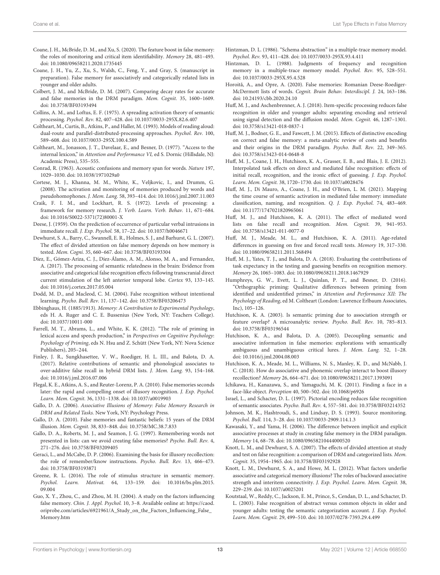- <span id="page-12-29"></span>Coane, J. H., McBride, D. M., and Xu, S. (2020). The feature boost in false memory: the roles of monitoring and critical item identifiability. Memory 28, 481–493. doi: [10.1080/09658211.2020.1735445](https://doi.org/10.1080/09658211.2020.1735445)
- <span id="page-12-3"></span>Coane, J. H., Yu, Z., Xu, S., Walsh, C., Feng, Y., and Gray, S. (manuscript in preparation). False memory for associatively and categorically related lists in younger and older adults.
- <span id="page-12-4"></span>Colbert, J. M., and McBride, D. M. (2007). Comparing decay rates for accurate and false memories in the DRM paradigm. Mem. Cognit. 35, 1600–1609. doi: [10.3758/BF03193494](https://doi.org/10.3758/BF03193494)
- <span id="page-12-21"></span>Collins, A. M., and Loftus, E. F. (1975). A spreading activation theory of semantic processing. Psychol. Rev. 82, 407–428. doi: [10.1037/0033-295X.82.6.407](https://doi.org/10.1037/0033-295X.82.6.407)
- <span id="page-12-38"></span>Coltheart, M., Curtis, B., Atkins, P., and Haller, M. (1993). Models of reading aloud: dual-route and parallel-distributed-processing approaches. Psychol. Rev. 100, 589–608. doi: [10.1037/0033-295X.100.4.589](https://doi.org/10.1037/0033-295X.100.4.589)
- <span id="page-12-35"></span>Coltheart, M., Jonasson, J. T., Davelaar, E., and Besner, D. (1977). "Access to the internal lexicon," in Attention and Performance VI, ed S. Dornic (Hillsdale, NJ: Academic Press), 535–555.
- <span id="page-12-15"></span>Conrad, R. (1963). Acoustic confusions and memory span for words. Nature 197, 1029–1030. doi: [10.1038/1971029a0](https://doi.org/10.1038/1971029a0)
- <span id="page-12-36"></span>Cortese, M. J., Khanna, M. M., White, K., Veljkovic, I., and Drumm, G. (2008). The activation and monitoring of memories produced by words and pseudohomophones. J. Mem. Lang. 58, 393–414. doi: [10.1016/j.jml.2007.11.003](https://doi.org/10.1016/j.jml.2007.11.003)
- <span id="page-12-41"></span>Craik, F. I. M., and Lockhart, R. S. (1972). Levels of processing: a framework for memory research. J. Verb. Learn. Verb. Behav. 11, 671–684. doi: [10.1016/S0022-5371\(72\)80001-X](https://doi.org/10.1016/S0022-5371(72)80001-X)
- <span id="page-12-0"></span>Deese, J. (1959). On the prediction of occurrence of particular verbal intrusions in immediate recall. J. Exp. Psychol. 58, 17–22. doi: [10.1037/h0046671](https://doi.org/10.1037/h0046671)
- <span id="page-12-26"></span>Dewhurst, S. A., Barry, C., Swannell, E. R., Holmes, S. J., and Barhurst, G. L. (2007). The effect of divided attention on false memory depends on how memory is tested. Mem. Cogni. 35, 660–667. doi: [10.3758/BF03193304](https://doi.org/10.3758/BF03193304)
- <span id="page-12-43"></span>Díez, E., Gómez-Ariza, C. J., Díez-Álamo, A. M., Alonso, M. A., and Fernandez, A. (2017). The processing of semantic relatedness in the brain: Evidence from associative and categorical false recognition effects following transcranial direct current stimulation of the left anterior temporal lobe. Cortex 93, 133–145. doi: [10.1016/j.cortex.2017.05.004](https://doi.org/10.1016/j.cortex.2017.05.004)
- <span id="page-12-22"></span>Dodd, M. D., and Macleod, C. M. (2004). False recognition without intentional learning. Psycho. Bull. Rev. 11, 137–142. doi: [10.3758/BF03206473](https://doi.org/10.3758/BF03206473)
- <span id="page-12-13"></span>Ebbinghaus, H. (1885/1913). Memory: A Contribution to Experimental Psychology, eds H. A. Ruger and C. E. Bussenius (New York, NY: Teachers College). doi: [10.1037/10011-000](https://doi.org/10.1037/10011-000)
- <span id="page-12-18"></span>Farrell, M. T., Abrams, L., and White, K. K. (2012). "The role of priming in lexical access and speech production," in Perspectives on Cognitive Psychology: Psychology of Priming, eds N. Hsu and Z. Schütt (New York, NY: Nova Science Publishers), 205–244.
- <span id="page-12-39"></span>Finley, J. R., Sungkhasettee, V. W., Roediger, H. L. III., and Balota, D. A. (2017). Relative contributions of semantic and phonological associates to over-additive false recall in hybrid DRM lists. J. Mem. Lang. 93, 154–168. doi: [10.1016/j.jml.2016.07.006](https://doi.org/10.1016/j.jml.2016.07.006)
- <span id="page-12-40"></span>Flegal, K. E., Atkins, A. S., and Reuter-Lorenz, P. A. (2010). False memories seconds later: the rapid and compelling onset of illusory recognition. J. Exp. Psychol. Learn. Mem. Cognit. 36, 1331–1338. doi: [10.1037/a0019903](https://doi.org/10.1037/a0019903)
- <span id="page-12-1"></span>Gallo, D. A. (2006). Associative Illusions of Memory: False Memory Research in DRM and Related Tasks. New York, NY: Psychology Press.
- <span id="page-12-2"></span>Gallo, D. A. (2010). False memories and fantastic beliefs: 15 years of the DRM illusion. Mem. Cognit. 38, 833–848. doi: [10.3758/MC.38.7.833](https://doi.org/10.3758/MC.38.7.833)
- <span id="page-12-5"></span>Gallo, D. A., Roberts, M. J., and Seamon, J. G. (1997). Remembering words not presented in lists: can we avoid creating false memories? Psycho. Bull. Rev. 4, 271–276. doi: [10.3758/BF03209405](https://doi.org/10.3758/BF03209405)
- <span id="page-12-9"></span>Geraci, L., and McCabe, D. P. (2006). Examining the basis for illusory recollection: the role of remember/know instructions. Psycho. Bull. Rev. 13, 466–473. doi: [10.3758/BF03193871](https://doi.org/10.3758/BF03193871)
- <span id="page-12-42"></span>Greene, R. L. (2016). The role of stimulus structure in semantic memory. Psychol. Learn. Motivat. [64, 133–159. doi: 10.1016/bs.plm.2015.](https://doi.org/10.1016/bs.plm.2015.09.004) 09.004
- <span id="page-12-11"></span>Guo, X. Y., Zhou, C., and Zhou, M. H. (2004). A study on the factors influencing false memory. Chin. J. Appl. Psychol. 10, 3–8. Available online at: [https://caod.](https://caod.oriprobe.com/articles/6921961/A_Study_on_the_Factors_Influencing_False_Memory.htm) [oriprobe.com/articles/6921961/A\\_Study\\_on\\_the\\_Factors\\_Influencing\\_False\\_](https://caod.oriprobe.com/articles/6921961/A_Study_on_the_Factors_Influencing_False_Memory.htm) [Memory.htm](https://caod.oriprobe.com/articles/6921961/A_Study_on_the_Factors_Influencing_False_Memory.htm)
- <span id="page-12-24"></span>Hintzman, D. L. (1986). "Schema abstraction" in a multiple-trace memory model. Psychol. Rev. 93, 411–428. doi: [10.1037/0033-295X.93.4.411](https://doi.org/10.1037/0033-295X.93.4.411)
- <span id="page-12-25"></span>Hintzman, D. L. (1988). Judgments of frequency and recognition memory in a multiple-trace memory model. Psychol. Rev. 95, 528–551. doi: [10.1037/0033-295X.95.4.528](https://doi.org/10.1037/0033-295X.95.4.528)
- <span id="page-12-10"></span>Horoită, A., and Opre, A. (2020). False memories: Romanian Deese-Roediger-McDermott lists of words. Cognit. Brain Behav. Interdiscipl. J. 24, 163–186. doi: [10.24193/cbb.2020.24.10](https://doi.org/10.24193/cbb.2020.24.10)
- <span id="page-12-32"></span>Huff, M. J., and Aschenbrenner, A. J. (2018). Item-specific processing reduces false recognition in older and younger adults: separating encoding and retrieval using signal detection and the diffusion model. Mem. Cognit. 46, 1287–1301. doi: [10.3758/s13421-018-0837-1](https://doi.org/10.3758/s13421-018-0837-1)
- <span id="page-12-8"></span>Huff, M. J., Bodner, G. E., and Fawcett, J. M. (2015). Effects of distinctive encoding on correct and false memory: a meta-analytic review of costs and benefits and their origins in the DRM paradigm. Psycho. Bull. Rev. 22, 349–365. doi: [10.3758/s13423-014-0648-8](https://doi.org/10.3758/s13423-014-0648-8)
- <span id="page-12-6"></span>Huff, M. J., Coane, J. H., Hutchison, K. A., Grasser, E. B., and Blais, J. E. (2012). Interpolated task effects on direct and mediated false recognition: effects of initial recall, recognition, and the ironic effect of guessing. J. Exp. Psychol. Learn. Mem. Cognit. 38, 1720–1730. doi: [10.1037/a0028476](https://doi.org/10.1037/a0028476)
- <span id="page-12-34"></span>Huff, M. J., Di Mauro, A., Coane, J. H., and O'Brien, L. M. (2021). Mapping the time course of semantic activation in mediated false memory: immediate classification, naming, and recognition. Q. J. Exp. Psychol. 74, 483–469. doi: [10.1177/1747021820965061](https://doi.org/10.1177/1747021820965061)
- <span id="page-12-33"></span>Huff, M. J., and Hutchison, K. A. (2011). The effect of mediated word lists on false recall and recognition. Mem. Cognit. 39, 941–953. doi: [10.3758/s13421-011-0077-0](https://doi.org/10.3758/s13421-011-0077-0)
- <span id="page-12-16"></span>Huff, M. J., Meade, M. L., and Hutchison, K. A. (2011). Age-related differences in guessing on free and forced recall tests. Memory 19, 317–330. doi: [10.1080/09658211.2011.568494](https://doi.org/10.1080/09658211.2011.568494)
- <span id="page-12-30"></span>Huff, M. J., Yates, T. J., and Balota, D. A. (2018). Evaluating the contributions of task expectancy in the testing and guessing benefits on recognition memory. Memory 26, 1065–1083. doi: [10.1080/09658211.2018.1467929](https://doi.org/10.1080/09658211.2018.1467929)
- <span id="page-12-19"></span>Humphreys, G. W., Evett, L. J., Quinlan, P. T., and Besner, D. (2016). "Orthographic priming: Qualitative differences between priming from identified and unidentified primes," in Attention and Performance XII: The Psychology of Reading, ed M. Coltheart (London: Lawrence Erlbaum Associates, Inc), 105–126.
- <span id="page-12-17"></span>Hutchison, K. A. (2003). Is semantic priming due to association strength or feature overlap? A microanalytic review. Psycho. Bull. Rev. 10, 785–813. doi: [10.3758/BF03196544](https://doi.org/10.3758/BF03196544)
- <span id="page-12-31"></span>Hutchison, K. A., and Balota, D. A. (2005). Decoupling semantic and associative information in false memories: explorations with semantically ambiguous and unambiguous critical lures. J. Mem. Lang. 52, 1–28. doi: [10.1016/j.jml.2004.08.003](https://doi.org/10.1016/j.jml.2004.08.003)
- <span id="page-12-37"></span>Hutchison, K. A., Meade, M. L., Williams, N. S., Manley, K. D., and McNabb, J. C. (2018). How do associative and phonemic overlap interact to boost illusory recollection? Memory 26, 664–671. doi: [10.1080/09658211.2017.1393091](https://doi.org/10.1080/09658211.2017.1393091)
- <span id="page-12-14"></span>Ichikawa, H., Kanazawa, S., and Yamaguchi, M. K. (2011). Finding a face in a face-like object. Perception 40, 500–502. doi: [10.1068/p6926](https://doi.org/10.1068/p6926)
- <span id="page-12-7"></span>Israel, L., and Schacter, D. L. (1997). Pictorial encoding reduces false recognition of semantic associates. Psycho. Bull. Rev. 4, 557–581. doi: [10.3758/BF03214352](https://doi.org/10.3758/BF03214352)
- <span id="page-12-23"></span>Johnson, M. K., Hashtroudi, S., and Lindsay, D. S. (1993). Source monitoring. Psychol. Bull. 114, 3–28. doi: [10.1037/0033-2909.114.1.3](https://doi.org/10.1037/0033-2909.114.1.3)
- <span id="page-12-12"></span>Kawasaki, Y., and Yama, H. (2006). The difference between implicit and explicit associative processes at study in creating false memory in the DRM paradigm. Memory 14, 68–78. doi: [10.1080/09658210444000520](https://doi.org/10.1080/09658210444000520)
- <span id="page-12-27"></span>Knott, L. M., and Dewhurst, S. A. (2007). The effects of divided attention at study and test on false recognition: a comparison of DRM and categorized lists. Mem. Cognit. 35, 1954–1965. doi: [10.3758/BF03192928](https://doi.org/10.3758/BF03192928)
- <span id="page-12-28"></span>Knott, L. M., Dewhurst, S. A., and Howe, M. L. (2012). What factors underlie associative and categorical memory illusions? The roles of backward associative strength and interitem connectivity. J. Exp. Psychol. Learn. Mem. Cognit. 38, 229–239. doi: [10.1037/a0025201](https://doi.org/10.1037/a0025201)
- <span id="page-12-20"></span>Koutstaal, W., Reddy, C., Jackson, E. M., Prince, S., Cendan, D. L., and Schacter, D. L. (2003). False recognition of abstract versus common objects in older and younger adults: testing the semantic categorization account. J. Exp. Psychol. Learn. Mem. Cognit. 29, 499–510. doi: [10.1037/0278-7393.29.4.499](https://doi.org/10.1037/0278-7393.29.4.499)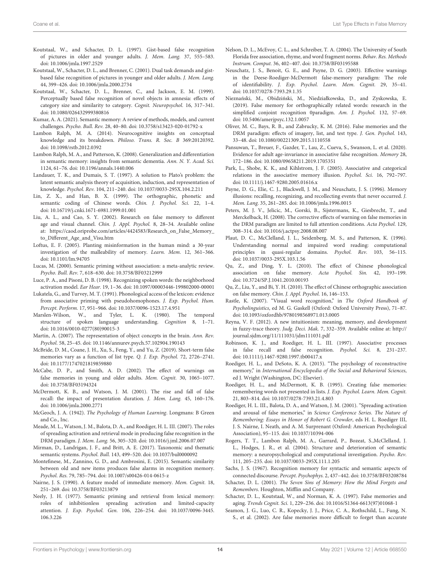- <span id="page-13-10"></span>Koutstaal, W., and Schacter, D. L. (1997). Gist-based false recognition of pictures in older and younger adults. J. Mem. Lang. 37, 555–583. doi: [10.1006/jmla.1997.2529](https://doi.org/10.1006/jmla.1997.2529)
- <span id="page-13-38"></span>Koutstaal, W., Schacter, D. L., and Brenner, C. (2001). Dual task demands and gistbased false recognition of pictures in younger and older adults. J. Mem. Lang. 44, 399–426. doi: [10.1006/jmla.2000.2734](https://doi.org/10.1006/jmla.2000.2734)
- <span id="page-13-11"></span>Koutstaal, W., Schacter, D. L., Brenner, C., and Jackson, E. M. (1999). Perceptually based false recognition of novel objects in amnesia: effects of category size and similarity to category. Cognit. Neuropsychol. 16, 317–341. doi: [10.1080/026432999380816](https://doi.org/10.1080/026432999380816)
- <span id="page-13-7"></span>Kumar, A. A. (2021). Semantic memory: A review of methods, models, and current challenges. Psycho. Bull. Rev. 28, 40–80. doi: [10.3758/s13423-020-01792-x](https://doi.org/10.3758/s13423-020-01792-x)
- <span id="page-13-42"></span>Lambon Ralph, M. A. (2014). Neurocognitive insights on conceptual knowledge and its breakdown. Philoso. Trans. R. Soc. B 369:20120392. doi: [10.1098/rstb.2012.0392](https://doi.org/10.1098/rstb.2012.0392)
- <span id="page-13-44"></span>Lambon Ralph, M. A., and Patterson, K. (2008). Generalization and differentiation in semantic memory: insights from semantic dementia. Ann. N. Y. Acad. Sci. 1124, 61–76. doi: [10.1196/annals.1440.006](https://doi.org/10.1196/annals.1440.006)
- <span id="page-13-17"></span>Landauer, T. K., and Dumais, S. T. (1997). A solution to Plato's problem: the latent semantic analysis theory of acquisition, induction, and representation of knowledge. Psychol. Rev. 104, 211–240. doi: [10.1037/0033-295X.104.2.211](https://doi.org/10.1037/0033-295X.104.2.211)
- <span id="page-13-31"></span>Lin, Z. X., and Han, B. X. (1999). The orthographic, phonetic and semantic coding of Chinese words. Chin. J. Psychol. Sci. 22, 1–4. doi: [10.16719/j.cnki.1671-6981.1999.01.001](https://doi.org/10.16719/j.cnki.1671-6981.1999.01.001)
- <span id="page-13-21"></span>Liu, A. L., and Cao, S. Y. (2002). Research on false memory to different age and visual channel. Chin. J. Appl. Psychol. 8, 28–34. Available online at: [https://caod.oriprobe.com/articles/4424583/Research\\_on\\_False\\_Memory\\_](https://caod.oriprobe.com/articles/4424583/Research_on_False_Memory_to_Different_Age_and_Visu.htm) [to\\_Different\\_Age\\_and\\_Visu.htm](https://caod.oriprobe.com/articles/4424583/Research_on_False_Memory_to_Different_Age_and_Visu.htm)
- <span id="page-13-6"></span>Loftus, E. F. (2005). Planting misinformation in the human mind: a 30-year investigation of the malleability of memory. Learn. Mem. 12, 361–366. doi: [10.1101/lm.94705](https://doi.org/10.1101/lm.94705)
- <span id="page-13-8"></span>Lucas, M. (2000). Semantic priming without association: a meta-analytic review. Psycho. Bull. Rev. 7, 618–630. doi: [10.3758/BF03212999](https://doi.org/10.3758/BF03212999)
- <span id="page-13-27"></span>Luce, P. A., and Pisoni, D. B. (1998). Recognizing spoken words: the neighborhood activation model. Ear Hear. 19, 1–36. doi: [10.1097/00003446-199802000-00001](https://doi.org/10.1097/00003446-199802000-00001)
- <span id="page-13-37"></span>Lukatela, G., and Turvey, M. T. (1991). Phonological access of the lexicon: evidence from associative priming with pseudohomophones. J. Exp. Psychol. Hum. Percept. Perform. 17, 951–966. doi: [10.1037/0096-1523.17.4.951](https://doi.org/10.1037/0096-1523.17.4.951)
- <span id="page-13-32"></span>Marslen-Wilson, W., and Tyler, L. K. (1980). The temporal structure of spoken language understanding. Cognition 8, 1–71. doi: [10.1016/0010-0277\(80\)90015-3](https://doi.org/10.1016/0010-0277(80)90015-3)
- <span id="page-13-45"></span>Martin, A. (2007). The representation of object concepts in the brain. Ann. Rev. Psychol. 58, 25–45. doi: [10.1146/annurev.psych.57.102904.190143](https://doi.org/10.1146/annurev.psych.57.102904.190143)
- <span id="page-13-36"></span>McBride, D. M., Coane, J. H., Xu, S., Feng, Y., and Yu, Z. (2019). Short-term false memories vary as a function of list type. Q. J. Exp. Psychol. 72, 2726–2741. doi: [10.1177/1747021819859880](https://doi.org/10.1177/1747021819859880)
- <span id="page-13-15"></span>McCabe, D. P., and Smith, A. D. (2002). The effect of warnings on false memories in young and older adults. Mem. Cognit. 30, 1065–1077. doi: [10.3758/BF03194324](https://doi.org/10.3758/BF03194324)
- <span id="page-13-34"></span>McDermott, K. B., and Watson, J. M. (2001). The rise and fall of false recall: the impact of presentation duration. J. Mem. Lang. 45, 160–176. doi: [10.1006/jmla.2000.2771](https://doi.org/10.1006/jmla.2000.2771)
- <span id="page-13-3"></span>McGeoch, J. A. (1942). The Psychology of Human Learning. Longmans: B Green and Co., Inc.
- <span id="page-13-26"></span>Meade, M. L., Watson, J. M., Balota, D. A., and Roediger, H. L. III. (2007). The roles of spreading activation and retrieval mode in producing false recognition in the DRM paradigm. J. Mem. Lang. 56, 305–320. doi: [10.1016/j.jml.2006.07.007](https://doi.org/10.1016/j.jml.2006.07.007)
- <span id="page-13-23"></span>Mirman, D., Landrigan, J. F., and Britt, A. E. (2017). Taxonomic and thematic semantic systems. Psychol. Bull. 143, 499–520. doi: [10.1037/bul0000092](https://doi.org/10.1037/bul0000092)
- <span id="page-13-19"></span>Montefinese, M., Zannino, G. D., and Ambrosini, E. (2015). Semantic similarity between old and new items produces false alarms in recognition memory. Psychol. Res. 79, 785–794. doi: [10.1007/s00426-014-0615-z](https://doi.org/10.1007/s00426-014-0615-z)
- <span id="page-13-41"></span>Nairne, J. S. (1990). A feature model of immediate memory. Mem. Cognit. 18, 251–269. doi: [10.3758/BF03213879](https://doi.org/10.3758/BF03213879)
- <span id="page-13-25"></span>Neely, J. H. (1977). Semantic priming and retrieval from lexical memory: roles of inhibitionless spreading activation and limited-capacity attention. J. Exp. Psychol. Gen. [106, 226–254. doi: 10.1037/0096-3445.](https://doi.org/10.1037/0096-3445.106.3.226) 106.3.226
- <span id="page-13-13"></span>Nelson, D. L., McEvoy, C. L., and Schreiber, T. A. (2004). The University of South Florida free association, rhyme, and word fragment norms. Behav. Res. Methods Instrum. Comput. 36, 402–407. doi: [10.3758/BF03195588](https://doi.org/10.3758/BF03195588)
- <span id="page-13-16"></span>Neuschatz, J. S., Benoit, G. E., and Payne, D. G. (2003). Effective warnings in the Deese-Roediger-McDermott false-memory paradigm: The role of identifiability. J. Exp. Psychol. Learn. Mem. Cognit. 29, 35–41. doi: [10.1037/0278-7393.29.1.35](https://doi.org/10.1037/0278-7393.29.1.35)
- <span id="page-13-40"></span>Nieznański, M., Obidziński, M., Niedziałkowska, D., and Zyskowska, E. (2019). False memory for orthographically related words: research in the simplified conjoint recognition 0paradigm. Am. J. Psychol. 132, 57–69. doi: [10.5406/amerjpsyc.132.1.0057](https://doi.org/10.5406/amerjpsyc.132.1.0057)
- <span id="page-13-33"></span>Oliver, M. C., Bays, R. B., and Zabrucky, K. M. (2016). False memories and the DRM paradigm: effects of imagery, list, and test type. J. Gen. Psychol. 143, 33–48. doi: [10.1080/00221309.2015.1110558](https://doi.org/10.1080/00221309.2015.1110558)
- <span id="page-13-22"></span>Pansuwan, T., Breuer, F., Gazder, T., Lau, Z., Cueva, S., Swanson, L. et al. (2020). Evidence for adult age-invariance in associative false recognition. Memory 28, 172–186. doi: [10.1080/09658211.2019.1705351](https://doi.org/10.1080/09658211.2019.1705351)
- <span id="page-13-18"></span>Park, L., Shobe, K. K., and Kihlstrom, J. F. (2005). Associative and categorical relations in the associative memory illusion. Psychol. Sci. 16, 792–797. doi: [10.1111/j.1467-9280.2005.01616.x](https://doi.org/10.1111/j.1467-9280.2005.01616.x)
- <span id="page-13-2"></span>Payne, D. G., Elie, C. J., Blackwell, J. M., and Neuschatz, J. S. (1996). Memory illusions: recalling, recognizing, and recollecting events that never occurred. J. Mem. Lang. 35, 261–285. doi: [10.1006/jmla.1996.0015](https://doi.org/10.1006/jmla.1996.0015)
- <span id="page-13-14"></span>Peters, M. J. V., Jelicic, M., Gorski, B., Sijstermans, K., Giesbrecht, T., and Merckelback, H. (2008). The corrective effects of warning on false memories in the DRM paradigm are limited to full attention conditions. Acta Psychol. 129, 308–314. doi: [10.1016/j.actpsy.2008.08.007](https://doi.org/10.1016/j.actpsy.2008.08.007)
- <span id="page-13-28"></span>Plaut, D. C., McClelland, J. L., Seidenberg, M. S., and Patterson, K. (1996). Understanding normal and impaired word reading: computational principles in quasi-regular domains. Psychol. Rev. 103, 56–115. doi: [10.1037/0033-295X.103.1.56](https://doi.org/10.1037/0033-295X.103.1.56)
- <span id="page-13-29"></span>Qu, Z., and Ding, Y. L. (2010). The effect of Chinese phonological association on false memory. Acta Psychol. Sin. 42, 193–199. doi: [10.3724/SP.J.1041.2010.00193](https://doi.org/10.3724/SP.J.1041.2010.00193)
- <span id="page-13-30"></span>Qu, Z., Liu, Y., and Bi, Y. H. (2010). The effect of Chinese orthographic association on false memory. Chin. J. Appl. Psychol. 16, 146–153.
- <span id="page-13-9"></span>Rastle, K. (2007). "Visual word recognition," in The Oxford Handbook of Psycholinguistics, ed M. G. Gaskell (Oxford: Oxford University Press), 71–87. doi: [10.1093/oxfordhb/9780198568971.013.0005](https://doi.org/10.1093/oxfordhb/9780198568971.013.0005)
- <span id="page-13-39"></span>Reyna, V. F. (2012). A new intuitionism: meaning, memory, and development in fuzzy-trace theory. Judg. Deci. Mak. 7, 332–359. Available online at: [http://](http://journal.sjdm.org/11/111031/jdm111031.pdf) [journal.sjdm.org/11/111031/jdm111031.pdf](http://journal.sjdm.org/11/111031/jdm111031.pdf)
- <span id="page-13-24"></span>Robinson, K. J., and Roediger, H. L. III. (1997). Associative processes in false recall and false recognition. Psychol. Sci. 8, 231–237. doi: [10.1111/j.1467-9280.1997.tb00417.x](https://doi.org/10.1111/j.1467-9280.1997.tb00417.x)
- <span id="page-13-5"></span>Roediger, H. L., and DeSoto, K. A. (2015). "The psychology of reconstructive memory," in International Encyclopedia of the Social and Behavioral Sciences, ed J. Wright (Washington, DC: Elsevier).
- <span id="page-13-0"></span>Roediger, H. L., and McDermott, K. B. (1995). Creating false memories: remembering words not presented in lists. J. Exp. Psychol. Learn. Mem. Cognit. 21, 803–814. doi: [10.1037/0278-7393.21.4.803](https://doi.org/10.1037/0278-7393.21.4.803)
- <span id="page-13-12"></span>Roediger, H. L. III., Balota, D. A., and Watson, J. M. (2001). "Spreading activation and arousal of false memories," in Science Conference Series. The Nature of Remembering: Essays in Honor of Robert G. Crowder, eds H. L. Roediger III, J. S. Nairne, I. Neath, and A. M. Surprenant (Oxford: American Psychological Association), 95–115. doi: [10.1037/10394-006](https://doi.org/10.1037/10394-006)
- <span id="page-13-43"></span>Rogers, T. T., Lambon Ralph, M. A., Garrard, P., Bozeat, S.,McClelland, J. L., Hodges, J. R., et al. (2004). Structure and deterioration of semantic memory: a neuropsychological and computational investigation. Psycho. Rev. 111, 205–235. doi: [10.1037/0033-295X.111.1.205](https://doi.org/10.1037/0033-295X.111.1.205)
- <span id="page-13-35"></span>Sachs, J. S. (1967). Recognition memory for syntactic and semantic aspects of connected discourse. Percept. Psychophys. 2, 437–442. doi: [10.3758/BF03208784](https://doi.org/10.3758/BF03208784)
- <span id="page-13-4"></span>Schacter, D. L. (2001). The Seven Sins of Memory: How the Mind Forgets and Remembers. Houghton, Mifflin and Company.
- <span id="page-13-20"></span>Schacter, D. L., Koutstaal, W., and Norman, K. A. (1997). False memories and aging. Trends Cognit. Sci. 1, 229–236. doi: [10.1016/S1364-6613\(97\)01068-1](https://doi.org/10.1016/S1364-6613(97)01068-1)
- <span id="page-13-1"></span>Seamon, J. G., Luo, C. R., Kopecky, J. J., Price, C. A., Rothschild, L., Fung, N. S., et al. (2002). Are false memories more difficult to forget than accurate